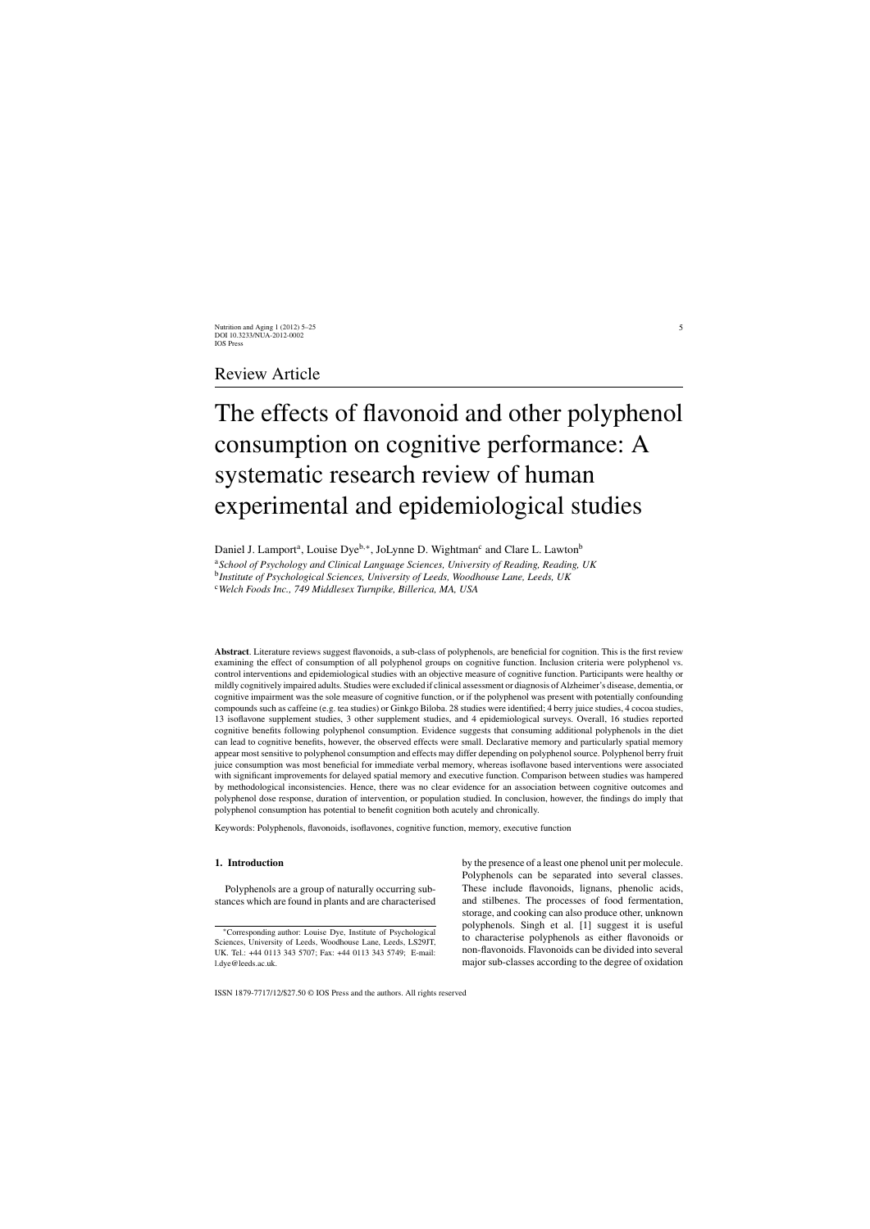# Review Article

# The effects of flavonoid and other polyphenol consumption on cognitive performance: A systematic research review of human experimental and epidemiological studies

Daniel J. Lamport<sup>a</sup>, Louise Dye<sup>b,∗</sup>, JoLynne D. Wightman<sup>c</sup> and Clare L. Lawton<sup>b</sup>

<sup>a</sup>*School of Psychology and Clinical Language Sciences, University of Reading, Reading, UK* <sup>b</sup>*Institute of Psychological Sciences, University of Leeds, Woodhouse Lane, Leeds, UK*

<sup>c</sup>*Welch Foods Inc., 749 Middlesex Turnpike, Billerica, MA, USA*

**Abstract**. Literature reviews suggest flavonoids, a sub-class of polyphenols, are beneficial for cognition. This is the first review examining the effect of consumption of all polyphenol groups on cognitive function. Inclusion criteria were polyphenol vs. control interventions and epidemiological studies with an objective measure of cognitive function. Participants were healthy or mildly cognitively impaired adults. Studies were excluded if clinical assessment or diagnosis of Alzheimer's disease, dementia, or cognitive impairment was the sole measure of cognitive function, or if the polyphenol was present with potentially confounding compounds such as caffeine (e.g. tea studies) or Ginkgo Biloba. 28 studies were identified; 4 berry juice studies, 4 cocoa studies, 13 isoflavone supplement studies, 3 other supplement studies, and 4 epidemiological surveys. Overall, 16 studies reported cognitive benefits following polyphenol consumption. Evidence suggests that consuming additional polyphenols in the diet can lead to cognitive benefits, however, the observed effects were small. Declarative memory and particularly spatial memory appear most sensitive to polyphenol consumption and effects may differ depending on polyphenol source. Polyphenol berry fruit juice consumption was most beneficial for immediate verbal memory, whereas isoflavone based interventions were associated with significant improvements for delayed spatial memory and executive function. Comparison between studies was hampered by methodological inconsistencies. Hence, there was no clear evidence for an association between cognitive outcomes and polyphenol dose response, duration of intervention, or population studied. In conclusion, however, the findings do imply that polyphenol consumption has potential to benefit cognition both acutely and chronically.

Keywords: Polyphenols, flavonoids, isoflavones, cognitive function, memory, executive function

## **1. Introduction**

Polyphenols are a group of naturally occurring substances which are found in plants and are characterised by the presence of a least one phenol unit per molecule. Polyphenols can be separated into several classes. These include flavonoids, lignans, phenolic acids, and stilbenes. The processes of food fermentation, storage, and cooking can also produce other, unknown polyphenols. Singh et al. [1] suggest it is useful to characterise polyphenols as either flavonoids or non-flavonoids. Flavonoids can be divided into several major sub-classes according to the degree of oxidation

<sup>∗</sup>Corresponding author: Louise Dye, Institute of Psychological Sciences, University of Leeds, Woodhouse Lane, Leeds, LS29JT, UK. Tel.: +44 0113 343 5707; Fax: +44 0113 343 5749; E-mail: [l.dye@leeds.ac.uk](mailto:l.dye@leeds.ac.uk).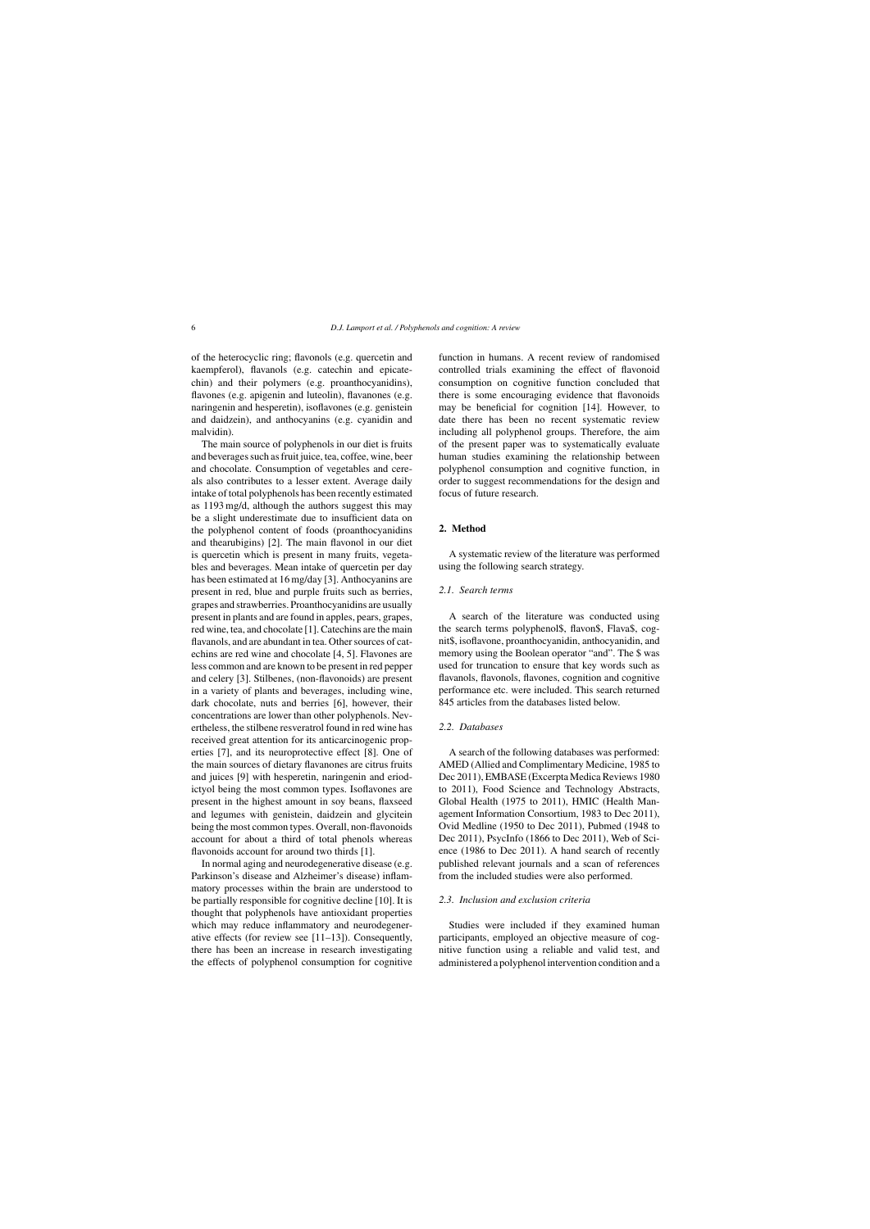of the heterocyclic ring; flavonols (e.g. quercetin and kaempferol), flavanols (e.g. catechin and epicatechin) and their polymers (e.g. proanthocyanidins), flavones (e.g. apigenin and luteolin), flavanones (e.g. naringenin and hesperetin), isoflavones (e.g. genistein and daidzein), and anthocyanins (e.g. cyanidin and malvidin).

The main source of polyphenols in our diet is fruits and beverages such as fruit juice, tea, coffee, wine, beer and chocolate. Consumption of vegetables and cereals also contributes to a lesser extent. Average daily intake of total polyphenols has been recently estimated as 1193 mg/d, although the authors suggest this may be a slight underestimate due to insufficient data on the polyphenol content of foods (proanthocyanidins and thearubigins) [2]. The main flavonol in our diet is quercetin which is present in many fruits, vegetables and beverages. Mean intake of quercetin per day has been estimated at 16 mg/day [3]. Anthocyanins are present in red, blue and purple fruits such as berries, grapes and strawberries. Proanthocyanidins are usually present in plants and are found in apples, pears, grapes, red wine, tea, and chocolate [1]. Catechins are the main flavanols, and are abundant in tea. Other sources of catechins are red wine and chocolate [4, 5]. Flavones are less common and are known to be present in red pepper and celery [3]. Stilbenes, (non-flavonoids) are present in a variety of plants and beverages, including wine, dark chocolate, nuts and berries [6], however, their concentrations are lower than other polyphenols. Nevertheless, the stilbene resveratrol found in red wine has received great attention for its anticarcinogenic properties [7], and its neuroprotective effect [8]. One of the main sources of dietary flavanones are citrus fruits and juices [9] with hesperetin, naringenin and eriodictyol being the most common types. Isoflavones are present in the highest amount in soy beans, flaxseed and legumes with genistein, daidzein and glycitein being the most common types. Overall, non-flavonoids account for about a third of total phenols whereas flavonoids account for around two thirds [1].

In normal aging and neurodegenerative disease (e.g. Parkinson's disease and Alzheimer's disease) inflammatory processes within the brain are understood to be partially responsible for cognitive decline [10]. It is thought that polyphenols have antioxidant properties which may reduce inflammatory and neurodegenerative effects (for review see [11–13]). Consequently, there has been an increase in research investigating the effects of polyphenol consumption for cognitive

function in humans. A recent review of randomised controlled trials examining the effect of flavonoid consumption on cognitive function concluded that there is some encouraging evidence that flavonoids may be beneficial for cognition [14]. However, to date there has been no recent systematic review including all polyphenol groups. Therefore, the aim of the present paper was to systematically evaluate human studies examining the relationship between polyphenol consumption and cognitive function, in order to suggest recommendations for the design and focus of future research.

#### **2. Method**

A systematic review of the literature was performed using the following search strategy.

### *2.1. Search terms*

A search of the literature was conducted using the search terms polyphenol\$, flavon\$, Flava\$, cognit\$, isoflavone, proanthocyanidin, anthocyanidin, and memory using the Boolean operator "and". The \$ was used for truncation to ensure that key words such as flavanols, flavonols, flavones, cognition and cognitive performance etc. were included. This search returned 845 articles from the databases listed below.

## *2.2. Databases*

A search of the following databases was performed: AMED (Allied and Complimentary Medicine, 1985 to Dec 2011), EMBASE (Excerpta Medica Reviews 1980 to 2011), Food Science and Technology Abstracts, Global Health (1975 to 2011), HMIC (Health Management Information Consortium, 1983 to Dec 2011), Ovid Medline (1950 to Dec 2011), Pubmed (1948 to Dec 2011), PsycInfo (1866 to Dec 2011), Web of Science (1986 to Dec 2011). A hand search of recently published relevant journals and a scan of references from the included studies were also performed.

#### *2.3. Inclusion and exclusion criteria*

Studies were included if they examined human participants, employed an objective measure of cognitive function using a reliable and valid test, and administered a polyphenol intervention condition and a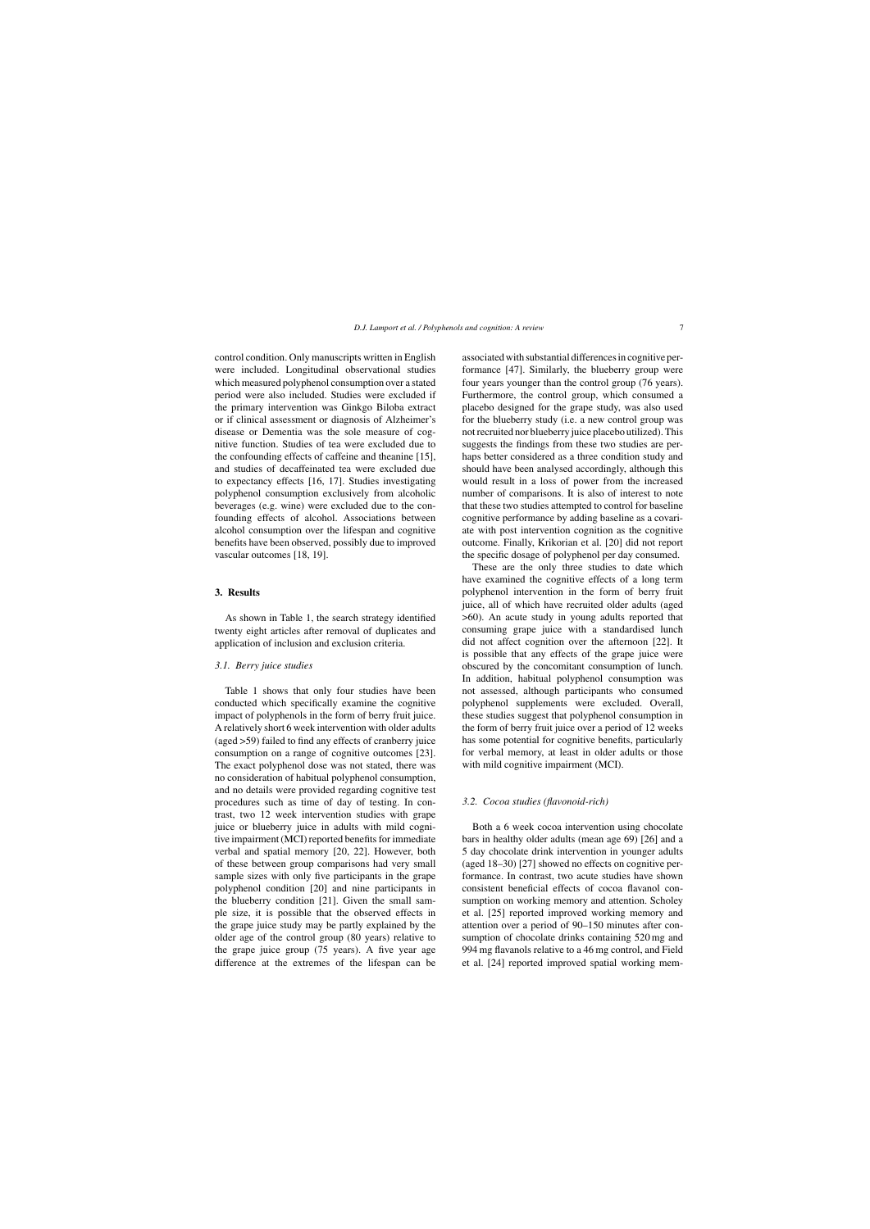control condition. Only manuscripts written in English were included. Longitudinal observational studies which measured polyphenol consumption over a stated period were also included. Studies were excluded if the primary intervention was Ginkgo Biloba extract or if clinical assessment or diagnosis of Alzheimer's disease or Dementia was the sole measure of cognitive function. Studies of tea were excluded due to the confounding effects of caffeine and theanine [15], and studies of decaffeinated tea were excluded due to expectancy effects [16, 17]. Studies investigating polyphenol consumption exclusively from alcoholic beverages (e.g. wine) were excluded due to the confounding effects of alcohol. Associations between alcohol consumption over the lifespan and cognitive benefits have been observed, possibly due to improved vascular outcomes [18, 19].

#### **3. Results**

As shown in Table 1, the search strategy identified twenty eight articles after removal of duplicates and application of inclusion and exclusion criteria.

#### *3.1. Berry juice studies*

Table 1 shows that only four studies have been conducted which specifically examine the cognitive impact of polyphenols in the form of berry fruit juice. A relatively short 6 week intervention with older adults (aged >59) failed to find any effects of cranberry juice consumption on a range of cognitive outcomes [23]. The exact polyphenol dose was not stated, there was no consideration of habitual polyphenol consumption, and no details were provided regarding cognitive test procedures such as time of day of testing. In contrast, two 12 week intervention studies with grape juice or blueberry juice in adults with mild cognitive impairment (MCI) reported benefits for immediate verbal and spatial memory [20, 22]. However, both of these between group comparisons had very small sample sizes with only five participants in the grape polyphenol condition [20] and nine participants in the blueberry condition [21]. Given the small sample size, it is possible that the observed effects in the grape juice study may be partly explained by the older age of the control group (80 years) relative to the grape juice group (75 years). A five year age difference at the extremes of the lifespan can be

associated with substantial differences in cognitive performance [47]. Similarly, the blueberry group were four years younger than the control group (76 years). Furthermore, the control group, which consumed a placebo designed for the grape study, was also used for the blueberry study (i.e. a new control group was not recruited nor blueberry juice placebo utilized). This suggests the findings from these two studies are perhaps better considered as a three condition study and should have been analysed accordingly, although this would result in a loss of power from the increased number of comparisons. It is also of interest to note that these two studies attempted to control for baseline cognitive performance by adding baseline as a covariate with post intervention cognition as the cognitive outcome. Finally, Krikorian et al. [20] did not report the specific dosage of polyphenol per day consumed.

These are the only three studies to date which have examined the cognitive effects of a long term polyphenol intervention in the form of berry fruit juice, all of which have recruited older adults (aged >60). An acute study in young adults reported that consuming grape juice with a standardised lunch did not affect cognition over the afternoon [22]. It is possible that any effects of the grape juice were obscured by the concomitant consumption of lunch. In addition, habitual polyphenol consumption was not assessed, although participants who consumed polyphenol supplements were excluded. Overall, these studies suggest that polyphenol consumption in the form of berry fruit juice over a period of 12 weeks has some potential for cognitive benefits, particularly for verbal memory, at least in older adults or those with mild cognitive impairment (MCI).

#### *3.2. Cocoa studies (flavonoid-rich)*

Both a 6 week cocoa intervention using chocolate bars in healthy older adults (mean age 69) [26] and a 5 day chocolate drink intervention in younger adults (aged 18–30) [27] showed no effects on cognitive performance. In contrast, two acute studies have shown consistent beneficial effects of cocoa flavanol consumption on working memory and attention. Scholey et al. [25] reported improved working memory and attention over a period of 90–150 minutes after consumption of chocolate drinks containing 520 mg and 994 mg flavanols relative to a 46 mg control, and Field et al. [24] reported improved spatial working mem-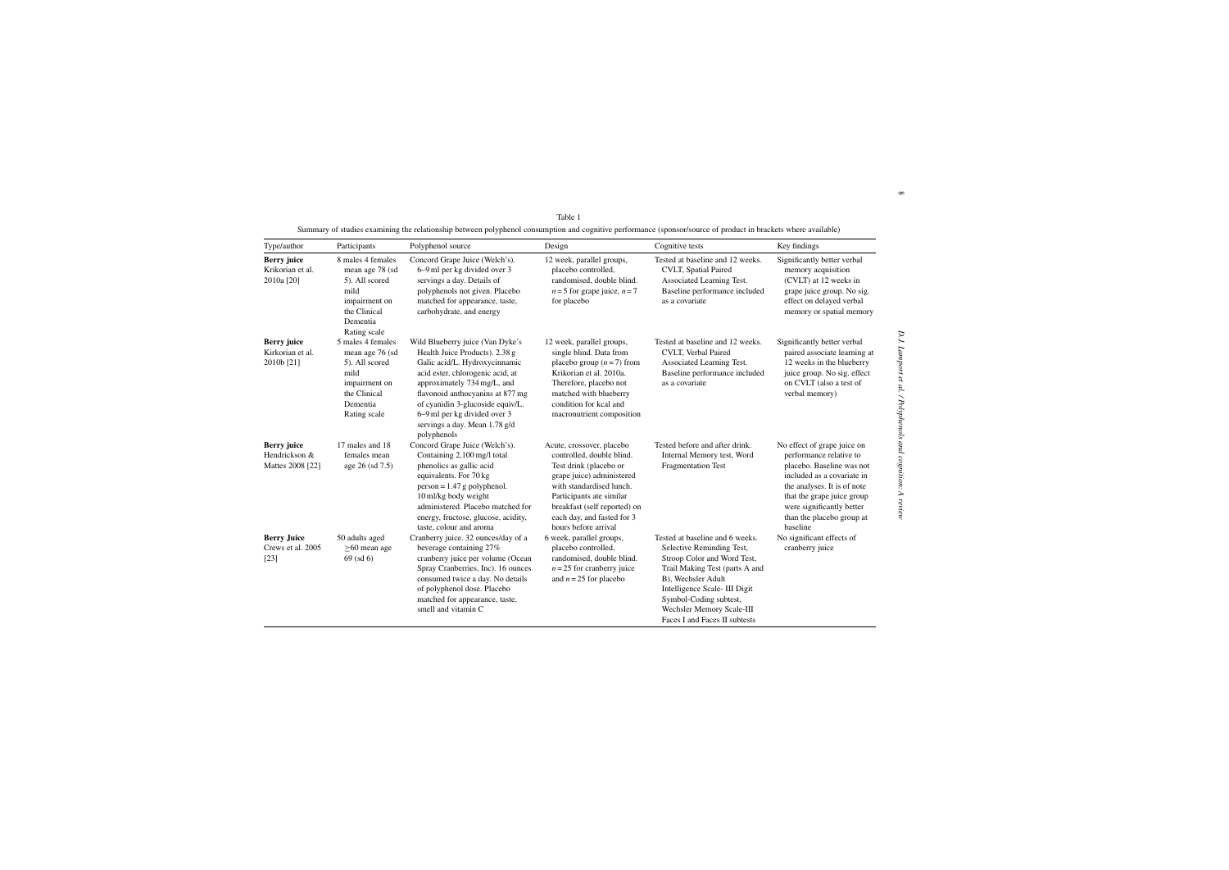| Type/author                                             | Participants                                                                                                                | Polyphenol source                                                                                                                                                                                                                                                                                                              | Design                                                                                                                                                                                                                                                      | Cognitive tests                                                                                                                                                                                                                                                             | Key findings                                                                                                                                                                                                                                         |
|---------------------------------------------------------|-----------------------------------------------------------------------------------------------------------------------------|--------------------------------------------------------------------------------------------------------------------------------------------------------------------------------------------------------------------------------------------------------------------------------------------------------------------------------|-------------------------------------------------------------------------------------------------------------------------------------------------------------------------------------------------------------------------------------------------------------|-----------------------------------------------------------------------------------------------------------------------------------------------------------------------------------------------------------------------------------------------------------------------------|------------------------------------------------------------------------------------------------------------------------------------------------------------------------------------------------------------------------------------------------------|
| <b>Berry</b> juice<br>Krikorian et al.<br>2010a [20]    | 8 males 4 females<br>mean age 78 (sd<br>5). All scored<br>mild<br>impairment on<br>the Clinical<br>Dementia<br>Rating scale | Concord Grape Juice (Welch's).<br>6–9 ml per kg divided over 3<br>servings a day. Details of<br>polyphenols not given. Placebo<br>matched for appearance, taste,<br>carbohydrate, and energy                                                                                                                                   | 12 week, parallel groups,<br>placebo controlled,<br>randomised, double blind.<br>$n = 5$ for grape juice, $n = 7$<br>for placebo                                                                                                                            | Tested at baseline and 12 weeks.<br>CVLT, Spatial Paired<br>Associated Learning Test.<br>Baseline performance included<br>as a covariate                                                                                                                                    | Significantly better verbal<br>memory acquisition<br>(CVLT) at 12 weeks in<br>grape juice group. No sig.<br>effect on delayed verbal<br>memory or spatial memory                                                                                     |
| <b>Berry</b> juice<br>Kirkorian et al.<br>2010b [21]    | 5 males 4 females<br>mean age 76 (sd<br>5). All scored<br>mild<br>impairment on<br>the Clinical<br>Dementia<br>Rating scale | Wild Blueberry juice (Van Dyke's<br>Health Juice Products). 2.38 g<br>Galic acid/L. Hydroxycinnamic<br>acid ester, chlorogenic acid, at<br>approximately 734 mg/L, and<br>flavonoid anthocyanins at 877 mg<br>of cyanidin 3-glucoside equiv/L.<br>6–9 ml per kg divided over 3<br>servings a day. Mean 1.78 g/d<br>polyphenols | 12 week, parallel groups,<br>single blind. Data from<br>placebo group $(n=7)$ from<br>Krikorian et al. 2010a.<br>Therefore, placebo not<br>matched with blueberry<br>condition for kcal and<br>macronutrient composition                                    | Tested at baseline and 12 weeks.<br>CVLT, Verbal Paired<br>Associated Learning Test.<br>Baseline performance included<br>as a covariate                                                                                                                                     | Significantly better verbal<br>paired associate learning at<br>12 weeks in the blueberry<br>juice group. No sig. effect<br>on CVLT (also a test of<br>verbal memory)                                                                                 |
| <b>Berry</b> juice<br>Hendrickson &<br>Mattes 2008 [22] | 17 males and 18<br>females mean<br>age 26 (sd 7.5)                                                                          | Concord Grape Juice (Welch's).<br>Containing 2,100 mg/l total<br>phenolics as gallic acid<br>equivalents. For 70 kg<br>$person = 1.47 g polyphenol.$<br>10 ml/kg body weight<br>administered. Placebo matched for<br>energy, fructose, glucose, acidity,<br>taste, colour and aroma                                            | Acute, crossover, placebo<br>controlled, double blind.<br>Test drink (placebo or<br>grape juice) administered<br>with standardised lunch.<br>Participants ate similar<br>breakfast (self reported) on<br>each day, and fasted for 3<br>hours before arrival | Tested before and after drink.<br>Internal Memory test, Word<br>Fragmentation Test                                                                                                                                                                                          | No effect of grape juice on<br>performance relative to<br>placebo. Baseline was not<br>included as a covariate in<br>the analyses. It is of note<br>that the grape juice group<br>were significantly better<br>than the placebo group at<br>baseline |
| <b>Berry Juice</b><br>Crews et al. 2005<br>$[23]$       | 50 adults aged<br>$\geq 60$ mean age<br>$69$ (sd $6$ )                                                                      | Cranberry juice. 32 ounces/day of a<br>beverage containing 27%<br>cranberry juice per volume (Ocean<br>Spray Cranberries, Inc). 16 ounces<br>consumed twice a day. No details<br>of polyphenol dose. Placebo<br>matched for appearance, taste,<br>smell and vitamin C                                                          | 6 week, parallel groups,<br>placebo controlled,<br>randomised, double blind.<br>$n = 25$ for cranberry juice<br>and $n = 25$ for placebo                                                                                                                    | Tested at baseline and 6 weeks.<br>Selective Reminding Test,<br>Stroop Color and Word Test,<br>Trail Making Test (parts A and<br>B), Wechsler Adult<br>Intelligence Scale-III Digit<br>Symbol-Coding subtest,<br>Wechsler Memory Scale-III<br>Faces I and Faces II subtests | No significant effects of<br>cranberry juice                                                                                                                                                                                                         |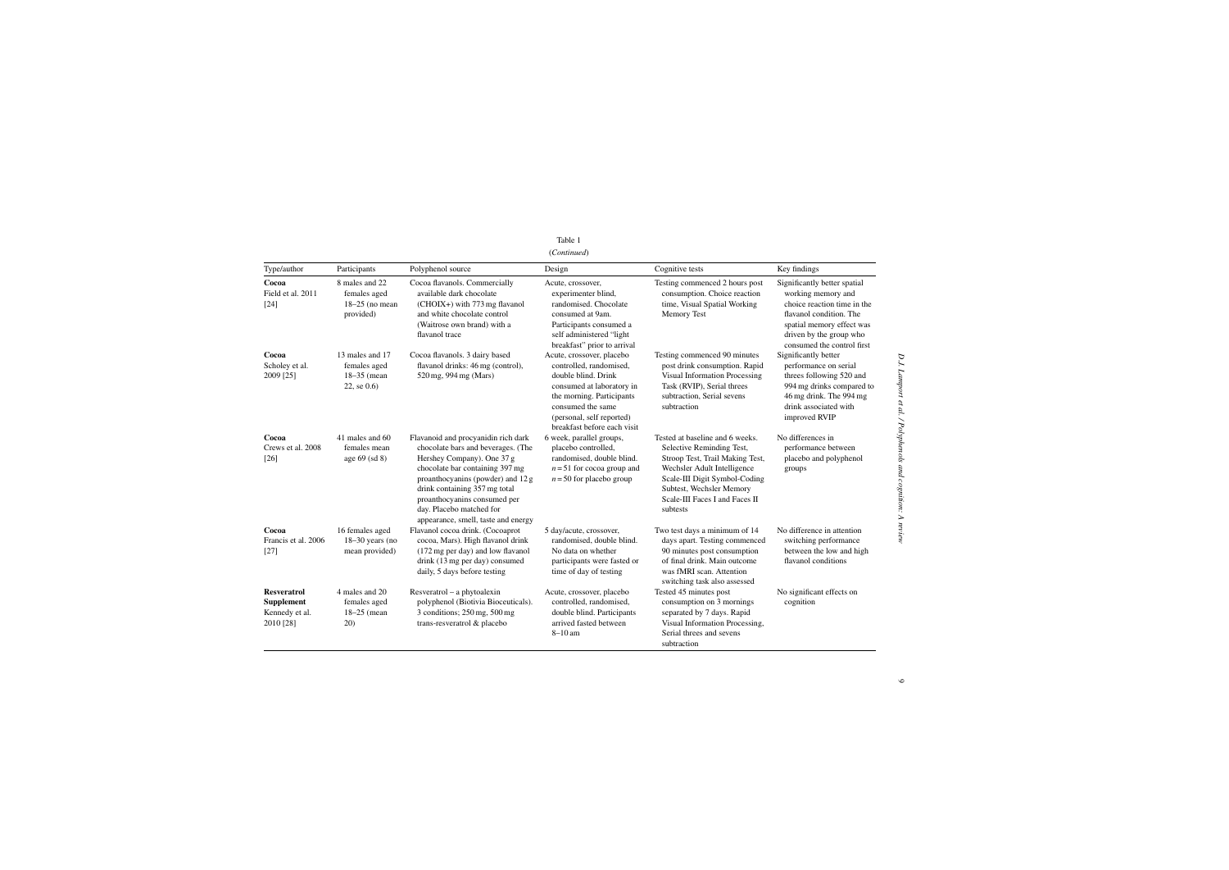# Table 1 (*Continued*)

| (Continued |  |  |
|------------|--|--|
|------------|--|--|

| Type/author                                                            | Participants                                                       | Polyphenol source                                                                                                                                                                                                                                                                                                   | Design                                                                                                                                                                                                                 | Cognitive tests                                                                                                                                                                                                                           | Key findings                                                                                                                                                                                       |
|------------------------------------------------------------------------|--------------------------------------------------------------------|---------------------------------------------------------------------------------------------------------------------------------------------------------------------------------------------------------------------------------------------------------------------------------------------------------------------|------------------------------------------------------------------------------------------------------------------------------------------------------------------------------------------------------------------------|-------------------------------------------------------------------------------------------------------------------------------------------------------------------------------------------------------------------------------------------|----------------------------------------------------------------------------------------------------------------------------------------------------------------------------------------------------|
| Cocoa<br>Field et al. 2011<br>$[24]$                                   | 8 males and 22<br>females aged<br>$18-25$ (no mean<br>provided)    | Cocoa flavanols. Commercially<br>available dark chocolate<br>(CHOIX+) with 773 mg flavanol<br>and white chocolate control<br>(Waitrose own brand) with a<br>flavanol trace                                                                                                                                          | Acute, crossover,<br>experimenter blind,<br>randomised. Chocolate<br>consumed at 9am.<br>Participants consumed a<br>self administered "light<br>breakfast" prior to arrival                                            | Testing commenced 2 hours post<br>consumption. Choice reaction<br>time, Visual Spatial Working<br>Memory Test                                                                                                                             | Significantly better spatial<br>working memory and<br>choice reaction time in the<br>flavanol condition. The<br>spatial memory effect was<br>driven by the group who<br>consumed the control first |
| Cocoa<br>Scholey et al.<br>2009 [25]                                   | 13 males and 17<br>females aged<br>$18-35$ (mean<br>$22,$ se $0.6$ | Cocoa flavanols. 3 dairy based<br>flavanol drinks: 46 mg (control),<br>520 mg, 994 mg (Mars)                                                                                                                                                                                                                        | Acute, crossover, placebo<br>controlled, randomised,<br>double blind. Drink<br>consumed at laboratory in<br>the morning. Participants<br>consumed the same<br>(personal, self reported)<br>breakfast before each visit | Testing commenced 90 minutes<br>post drink consumption. Rapid<br>Visual Information Processing<br>Task (RVIP), Serial threes<br>subtraction, Serial sevens<br>subtraction                                                                 | Significantly better<br>performance on serial<br>threes following 520 and<br>994 mg drinks compared to<br>46 mg drink. The 994 mg<br>drink associated with<br>improved RVIP                        |
| Cocoa<br>Crews et al. 2008<br>$[26]$                                   | 41 males and 60<br>females mean<br>age $69$ (sd $8$ )              | Flavanoid and procyanidin rich dark<br>chocolate bars and beverages. (The<br>Hershey Company). One 37 g<br>chocolate bar containing 397 mg<br>proanthocyanins (powder) and 12 g<br>drink containing 357 mg total<br>proanthocyanins consumed per<br>day. Placebo matched for<br>appearance, smell, taste and energy | 6 week, parallel groups,<br>placebo controlled,<br>randomised, double blind.<br>$n = 51$ for cocoa group and<br>$n = 50$ for placebo group                                                                             | Tested at baseline and 6 weeks.<br>Selective Reminding Test,<br>Stroop Test, Trail Making Test,<br>Wechsler Adult Intelligence<br>Scale-III Digit Symbol-Coding<br>Subtest, Wechsler Memory<br>Scale-III Faces I and Faces II<br>subtests | No differences in<br>performance between<br>placebo and polyphenol<br>groups                                                                                                                       |
| Cocoa<br>Francis et al. 2006<br>$[27]$                                 | 16 females aged<br>$18-30$ years (no<br>mean provided)             | Flavanol cocoa drink. (Cocoaprot<br>cocoa, Mars). High flavanol drink<br>(172 mg per day) and low flavanol<br>drink (13 mg per day) consumed<br>daily, 5 days before testing                                                                                                                                        | 5 day/acute, crossover,<br>randomised, double blind.<br>No data on whether<br>participants were fasted or<br>time of day of testing                                                                                    | Two test days a minimum of 14<br>days apart. Testing commenced<br>90 minutes post consumption<br>of final drink. Main outcome<br>was fMRI scan. Attention<br>switching task also assessed                                                 | No difference in attention<br>switching performance<br>between the low and high<br>flavanol conditions                                                                                             |
| <b>Resveratrol</b><br><b>Supplement</b><br>Kennedy et al.<br>2010 [28] | 4 males and 20<br>females aged<br>$18-25$ (mean<br>20)             | $Resveratrol - a phytoalexin$<br>polyphenol (Biotivia Bioceuticals).<br>3 conditions; 250 mg, 500 mg<br>trans-resveratrol & placebo                                                                                                                                                                                 | Acute, crossover, placebo<br>controlled, randomised.<br>double blind. Participants<br>arrived fasted between<br>$8-10$ am                                                                                              | Tested 45 minutes post<br>consumption on 3 mornings<br>separated by 7 days. Rapid<br>Visual Information Processing,<br>Serial threes and sevens<br>subtraction                                                                            | No significant effects on<br>cognition                                                                                                                                                             |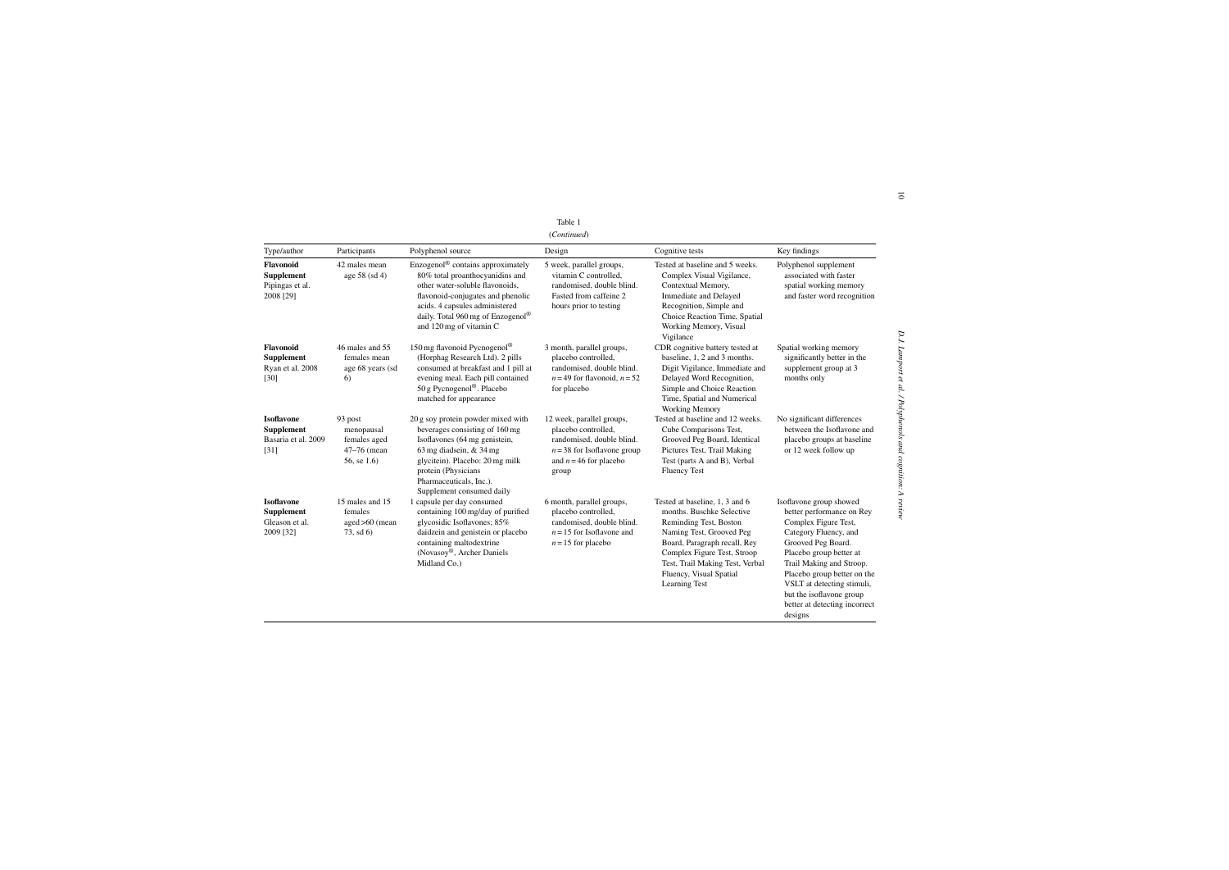| ۰.<br>×.<br>٠ | $\sim$ |  |
|---------------|--------|--|
|               |        |  |

|                                                                       |                                                                     |                                                                                                                                                                                                                                                      | Table 1<br>(Continued)                                                                                                                              |                                                                                                                                                                                                                                                                 |                                                                                                                                                                                                                                                                                                                         |
|-----------------------------------------------------------------------|---------------------------------------------------------------------|------------------------------------------------------------------------------------------------------------------------------------------------------------------------------------------------------------------------------------------------------|-----------------------------------------------------------------------------------------------------------------------------------------------------|-----------------------------------------------------------------------------------------------------------------------------------------------------------------------------------------------------------------------------------------------------------------|-------------------------------------------------------------------------------------------------------------------------------------------------------------------------------------------------------------------------------------------------------------------------------------------------------------------------|
| Type/author                                                           | Participants                                                        | Polyphenol source                                                                                                                                                                                                                                    | Design                                                                                                                                              | Cognitive tests                                                                                                                                                                                                                                                 | Key findings                                                                                                                                                                                                                                                                                                            |
| Flavonoid<br><b>Supplement</b><br>Pipingas et al.<br>2008 [29]        | 42 males mean<br>age 58 (sd 4)                                      | Enzogenol® contains approximately<br>80% total proanthocyanidins and<br>other water-soluble flavonoids,<br>flavonoid-conjugates and phenolic<br>acids. 4 capsules administered<br>daily. Total 960 mg of Enzogenol®<br>and 120 mg of vitamin C       | 5 week, parallel groups,<br>vitamin C controlled,<br>randomised, double blind.<br>Fasted from caffeine 2<br>hours prior to testing                  | Tested at baseline and 5 weeks.<br>Complex Visual Vigilance,<br>Contextual Memory,<br><b>Immediate and Delayed</b><br>Recognition, Simple and<br>Choice Reaction Time, Spatial<br>Working Memory, Visual<br>Vigilance                                           | Polyphenol supplement<br>associated with faster<br>spatial working memory<br>and faster word recognition                                                                                                                                                                                                                |
| <b>Flavonoid</b><br>Supplement<br>Ryan et al. 2008<br>$[30]$          | 46 males and 55<br>females mean<br>age 68 years (sd<br>6)           | 150 mg flavonoid Pycnogenol®<br>(Horphag Research Ltd). 2 pills<br>consumed at breakfast and 1 pill at<br>evening meal. Each pill contained<br>50 g Pycnogenol®. Placebo<br>matched for appearance                                                   | 3 month, parallel groups,<br>placebo controlled,<br>randomised, double blind.<br>$n = 49$ for flavonoid, $n = 52$<br>for placebo                    | CDR cognitive battery tested at<br>baseline, 1, 2 and 3 months.<br>Digit Vigilance, Immediate and<br>Delayed Word Recognition,<br>Simple and Choice Reaction<br>Time, Spatial and Numerical<br>Working Memory                                                   | Spatial working memory<br>significantly better in the<br>supplement group at 3<br>months only                                                                                                                                                                                                                           |
| <b>Isoflavone</b><br>Supplement<br>Basaria et al. 2009<br>$[31]$      | 93 post<br>menopausal<br>females aged<br>47-76 (mean<br>56, se 1.6) | 20 g soy protein powder mixed with<br>beverages consisting of 160 mg<br>Isoflavones (64 mg genistein,<br>63 mg diadsein, $&$ 34 mg<br>glycitein). Placebo: 20 mg milk<br>protein (Physicians<br>Pharmaceuticals, Inc.).<br>Supplement consumed daily | 12 week, parallel groups,<br>placebo controlled,<br>randomised, double blind.<br>$n = 38$ for Isoflavone group<br>and $n = 46$ for placebo<br>group | Tested at baseline and 12 weeks.<br>Cube Comparisons Test,<br>Grooved Peg Board, Identical<br>Pictures Test, Trail Making<br>Test (parts A and B), Verbal<br><b>Fluency Test</b>                                                                                | No significant differences<br>between the Isoflavone and<br>placebo groups at baseline<br>or 12 week follow up                                                                                                                                                                                                          |
| <b>Isoflavone</b><br><b>Supplement</b><br>Gleason et al.<br>2009 [32] | 15 males and 15<br>females<br>$aged > 60$ (mean<br>73, sd 6)        | 1 capsule per day consumed<br>containing 100 mg/day of purified<br>glycosidic Isoflavones; 85%<br>daidzein and genistein or placebo<br>containing maltodextrine<br>(Novasoy®, Archer Daniels<br>Midland Co.)                                         | 6 month, parallel groups,<br>placebo controlled,<br>randomised, double blind.<br>$n = 15$ for Isoflavone and<br>$n = 15$ for placebo                | Tested at baseline, 1, 3 and 6<br>months. Buschke Selective<br>Reminding Test, Boston<br>Naming Test, Grooved Peg<br>Board, Paragraph recall, Rey<br>Complex Figure Test, Stroop<br>Test, Trail Making Test, Verbal<br>Fluency, Visual Spatial<br>Learning Test | Isoflavone group showed<br>better performance on Rey<br>Complex Figure Test,<br>Category Fluency, and<br>Grooved Peg Board.<br>Placebo group better at<br>Trail Making and Stroop.<br>Placebo group better on the<br>VSLT at detecting stimuli,<br>but the isoflavone group<br>better at detecting incorrect<br>designs |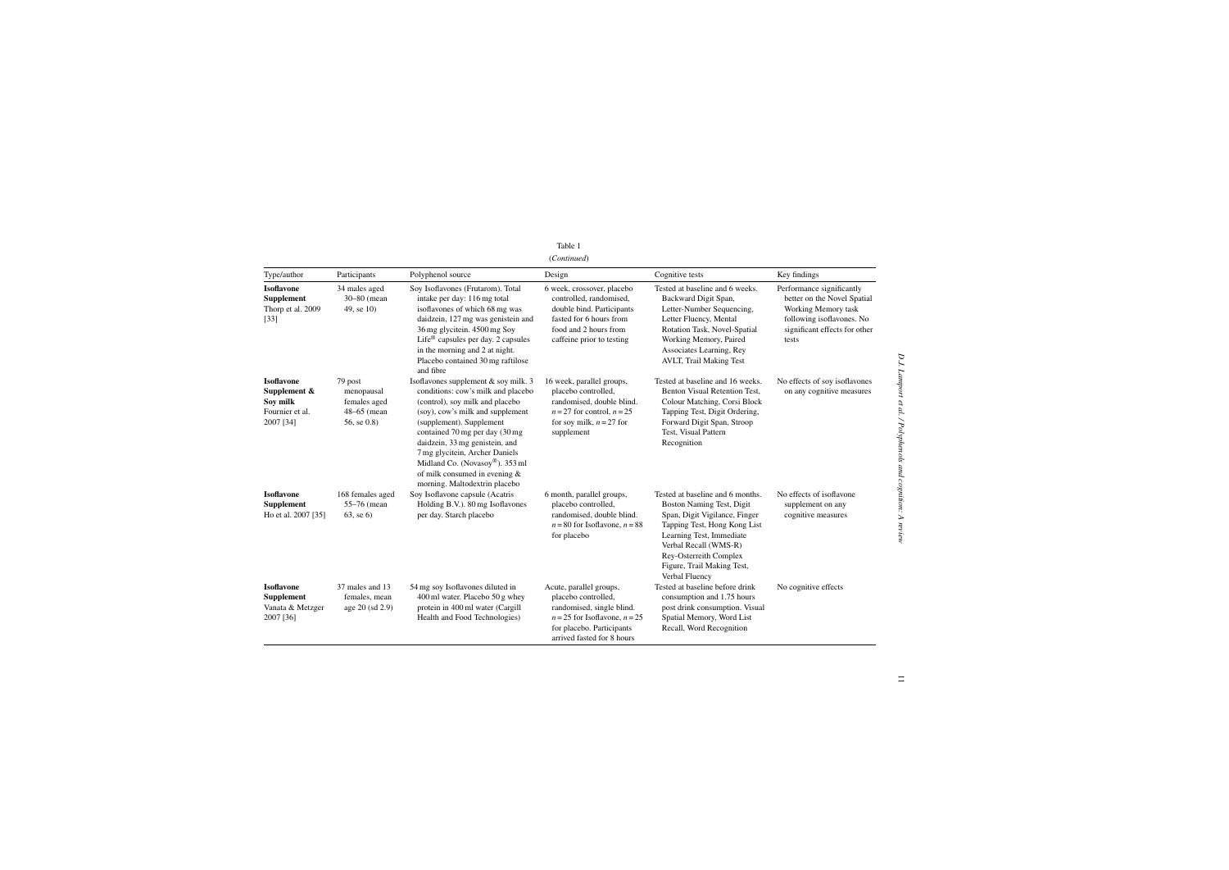| Table 1     |
|-------------|
| (Continued) |

| Type/author                                                                      | Participants                                                             | Polyphenol source                                                                                                                                                                                                                                                                                                                                                                       | Design                                                                                                                                                                      | Cognitive tests                                                                                                                                                                                                                                               | Key findings                                                                                                                                           |
|----------------------------------------------------------------------------------|--------------------------------------------------------------------------|-----------------------------------------------------------------------------------------------------------------------------------------------------------------------------------------------------------------------------------------------------------------------------------------------------------------------------------------------------------------------------------------|-----------------------------------------------------------------------------------------------------------------------------------------------------------------------------|---------------------------------------------------------------------------------------------------------------------------------------------------------------------------------------------------------------------------------------------------------------|--------------------------------------------------------------------------------------------------------------------------------------------------------|
| <b>Isoflavone</b><br><b>Supplement</b><br>Thorp et al. 2009<br>$[33]$            | 34 males aged<br>30-80 (mean<br>49, se 10)                               | Soy Isoflavones (Frutarom). Total<br>intake per day: 116 mg total<br>isoflavones of which 68 mg was<br>daidzein, 127 mg was genistein and<br>36 mg glycitein. 4500 mg Soy<br>Life <sup><math>\circledcirc</math></sup> capsules per day. 2 capsules<br>in the morning and 2 at night.<br>Placebo contained 30 mg raftilose<br>and fibre                                                 | 6 week, crossover, placebo<br>controlled, randomised,<br>double bind. Participants<br>fasted for 6 hours from<br>food and 2 hours from<br>caffeine prior to testing         | Tested at baseline and 6 weeks.<br>Backward Digit Span,<br>Letter-Number Sequencing,<br>Letter Fluency, Mental<br>Rotation Task, Novel-Spatial<br>Working Memory, Paired<br>Associates Learning, Rey<br>AVLT, Trail Making Test                               | Performance significantly<br>better on the Novel Spatial<br>Working Memory task<br>following isoflavones. No<br>significant effects for other<br>tests |
| <b>Isoflavone</b><br>Supplement $\&$<br>Soy milk<br>Fournier et al.<br>2007 [34] | 79 post<br>menopausal<br>females aged<br>$48-65$ (mean<br>56, se $(0.8)$ | Isoflavones supplement & soy milk. 3<br>conditions: cow's milk and placebo<br>(control), soy milk and placebo<br>(soy), cow's milk and supplement<br>(supplement). Supplement<br>contained 70 mg per day (30 mg<br>daidzein, 33 mg genistein, and<br>7 mg glycitein, Archer Daniels<br>Midland Co. (Novasoy®). 353 ml<br>of milk consumed in evening &<br>morning. Maltodextrin placebo | 16 week, parallel groups,<br>placebo controlled,<br>randomised, double blind.<br>$n = 27$ for control, $n = 25$<br>for soy milk, $n = 27$ for<br>supplement                 | Tested at baseline and 16 weeks.<br>Benton Visual Retention Test,<br>Colour Matching, Corsi Block<br>Tapping Test, Digit Ordering,<br>Forward Digit Span, Stroop<br>Test, Visual Pattern<br>Recognition                                                       | No effects of soy isoflavones<br>on any cognitive measures                                                                                             |
| <b>Isoflavone</b><br>Supplement<br>Ho et al. 2007 [35]                           | 168 females aged<br>55-76 (mean<br>$63$ , se $6)$                        | Soy Isoflavone capsule (Acatris<br>Holding B.V.). 80 mg Isoflavones<br>per day. Starch placebo                                                                                                                                                                                                                                                                                          | 6 month, parallel groups,<br>placebo controlled,<br>randomised, double blind.<br>$n = 80$ for Isoflavone, $n = 88$<br>for placebo                                           | Tested at baseline and 6 months.<br>Boston Naming Test, Digit<br>Span, Digit Vigilance, Finger<br>Tapping Test, Hong Kong List<br>Learning Test, Immediate<br>Verbal Recall (WMS-R)<br>Rey-Osterreith Complex<br>Figure, Trail Making Test,<br>Verbal Fluency | No effects of isoflavone<br>supplement on any<br>cognitive measures                                                                                    |
| <b>Isoflavone</b><br>Supplement<br>Vanata & Metzger<br>2007 [36]                 | 37 males and 13<br>females, mean<br>age 20 (sd 2.9)                      | 54 mg soy Isoflavones diluted in<br>400 ml water. Placebo 50 g whey<br>protein in 400 ml water (Cargill<br>Health and Food Technologies)                                                                                                                                                                                                                                                | Acute, parallel groups,<br>placebo controlled,<br>randomised, single blind.<br>$n = 25$ for Isoflavone, $n = 25$<br>for placebo. Participants<br>arrived fasted for 8 hours | Tested at baseline before drink<br>consumption and 1.75 hours<br>post drink consumption. Visual<br>Spatial Memory, Word List<br>Recall, Word Recognition                                                                                                      | No cognitive effects                                                                                                                                   |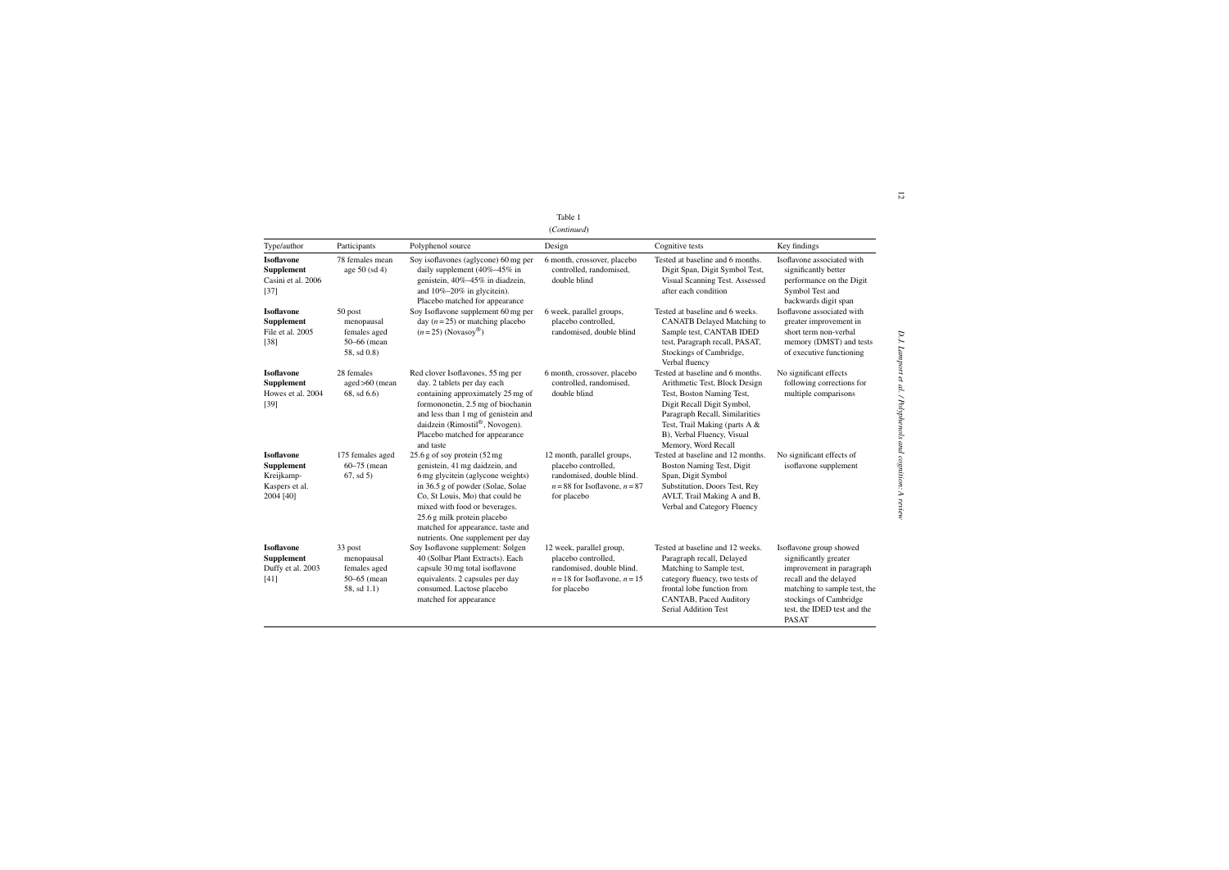| anı<br>۰. | $\sim$ |  |
|-----------|--------|--|
|           |        |  |

|                                                                                     |                                                                     |                                                                                                                                                                                                                                                                                                                       | Table 1<br>(Continued)                                                                                                             |                                                                                                                                                                                                                                                      |                                                                                                                                                                                                                 |
|-------------------------------------------------------------------------------------|---------------------------------------------------------------------|-----------------------------------------------------------------------------------------------------------------------------------------------------------------------------------------------------------------------------------------------------------------------------------------------------------------------|------------------------------------------------------------------------------------------------------------------------------------|------------------------------------------------------------------------------------------------------------------------------------------------------------------------------------------------------------------------------------------------------|-----------------------------------------------------------------------------------------------------------------------------------------------------------------------------------------------------------------|
| Type/author                                                                         | Participants                                                        | Polyphenol source                                                                                                                                                                                                                                                                                                     | Design                                                                                                                             | Cognitive tests                                                                                                                                                                                                                                      | Key findings                                                                                                                                                                                                    |
| <b>Isoflavone</b><br>Supplement<br>Casini et al. 2006<br>$[37]$                     | 78 females mean<br>age $50$ (sd 4)                                  | Soy isoflavones (aglycone) 60 mg per<br>daily supplement $(40\% - 45\%$ in<br>genistein, 40%-45% in diadzein,<br>and $10\% - 20\%$ in glycitein).<br>Placebo matched for appearance                                                                                                                                   | 6 month, crossover, placebo<br>controlled, randomised,<br>double blind                                                             | Tested at baseline and 6 months.<br>Digit Span, Digit Symbol Test,<br>Visual Scanning Test. Assessed<br>after each condition                                                                                                                         | Isoflavone associated with<br>significantly better<br>performance on the Digit<br>Symbol Test and<br>backwards digit span                                                                                       |
| <b>Isoflavone</b><br>Supplement<br>File et al. 2005<br>$[38]$                       | 50 post<br>menopausal<br>females aged<br>50–66 (mean<br>58, sd 0.8) | Soy Isoflavone supplement 60 mg per<br>day ( $n = 25$ ) or matching placebo<br>$(n=25)$ (Novasoy®)                                                                                                                                                                                                                    | 6 week, parallel groups,<br>placebo controlled,<br>randomised, double blind                                                        | Tested at baseline and 6 weeks.<br><b>CANATB</b> Delayed Matching to<br>Sample test, CANTAB IDED<br>test, Paragraph recall, PASAT,<br>Stockings of Cambridge,<br>Verbal fluency                                                                      | Isoflavone associated with<br>greater improvement in<br>short term non-verbal<br>memory (DMST) and tests<br>of executive functioning                                                                            |
| <b>Isoflavone</b><br><b>Supplement</b><br>Howes et al. 2004<br>$[39]$               | 28 females<br>$aged > 60$ (mean<br>$68$ , sd $6.6$ )                | Red clover Isoflavones, 55 mg per<br>day. 2 tablets per day each<br>containing approximately 25 mg of<br>formononetin, 2.5 mg of biochanin<br>and less than 1 mg of genistein and<br>daidzein (Rimostil®, Novogen).<br>Placebo matched for appearance<br>and taste                                                    | 6 month, crossover, placebo<br>controlled, randomised,<br>double blind                                                             | Tested at baseline and 6 months.<br>Arithmetic Test, Block Design<br>Test, Boston Naming Test,<br>Digit Recall Digit Symbol,<br>Paragraph Recall, Similarities<br>Test, Trail Making (parts A &<br>B), Verbal Fluency, Visual<br>Memory, Word Recall | No significant effects<br>following corrections for<br>multiple comparisons                                                                                                                                     |
| <b>Isoflavone</b><br><b>Supplement</b><br>Kreijkamp-<br>Kaspers et al.<br>2004 [40] | 175 females aged<br>$60 - 75$ (mean<br>67, sd5                      | 25.6 g of soy protein (52 mg<br>genistein, 41 mg daidzein, and<br>6 mg glycitein (aglycone weights)<br>in 36.5 g of powder (Solae, Solae<br>Co, St Louis, Mo) that could be<br>mixed with food or beverages.<br>25.6 g milk protein placebo<br>matched for appearance, taste and<br>nutrients. One supplement per day | 12 month, parallel groups,<br>placebo controlled,<br>randomised, double blind.<br>$n = 88$ for Isoflavone, $n = 87$<br>for placebo | Tested at baseline and 12 months.<br>Boston Naming Test, Digit<br>Span, Digit Symbol<br>Substitution, Doors Test, Rey<br>AVLT, Trail Making A and B,<br>Verbal and Category Fluency                                                                  | No significant effects of<br>isoflavone supplement                                                                                                                                                              |
| <b>Isoflavone</b><br><b>Supplement</b><br>Duffy et al. 2003<br>$[41]$               | 33 post<br>menopausal<br>females aged<br>50-65 (mean<br>58, sd 1.1) | Soy Isoflavone supplement: Solgen<br>40 (Solbar Plant Extracts). Each<br>capsule 30 mg total isoflavone<br>equivalents. 2 capsules per day<br>consumed. Lactose placebo<br>matched for appearance                                                                                                                     | 12 week, parallel group,<br>placebo controlled,<br>randomised, double blind.<br>$n = 18$ for Isoflavone, $n = 15$<br>for placebo   | Tested at baseline and 12 weeks.<br>Paragraph recall, Delayed<br>Matching to Sample test,<br>category fluency, two tests of<br>frontal lobe function from<br>CANTAB, Paced Auditory<br><b>Serial Addition Test</b>                                   | Isoflavone group showed<br>significantly greater<br>improvement in paragraph<br>recall and the delayed<br>matching to sample test, the<br>stockings of Cambridge<br>test, the IDED test and the<br><b>PASAT</b> |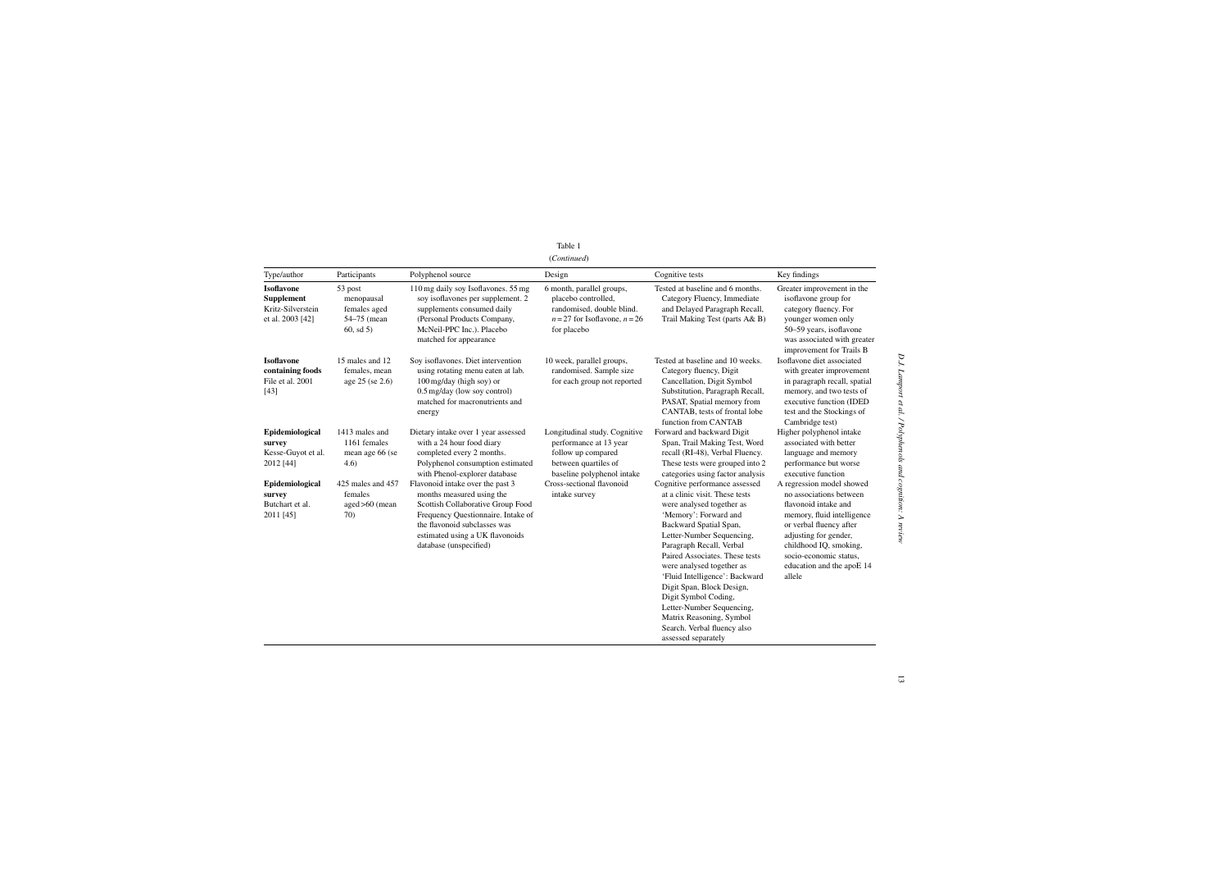|                                                                                 |                                                                 |                                                                                                                                                                                                                                       | (Continued)                                                                                                                         |                                                                                                                                                                                                                                                                                                                                                                                                                                                                                |                                                                                                                                                                                                                                                           |
|---------------------------------------------------------------------------------|-----------------------------------------------------------------|---------------------------------------------------------------------------------------------------------------------------------------------------------------------------------------------------------------------------------------|-------------------------------------------------------------------------------------------------------------------------------------|--------------------------------------------------------------------------------------------------------------------------------------------------------------------------------------------------------------------------------------------------------------------------------------------------------------------------------------------------------------------------------------------------------------------------------------------------------------------------------|-----------------------------------------------------------------------------------------------------------------------------------------------------------------------------------------------------------------------------------------------------------|
| Type/author                                                                     | Participants                                                    | Polyphenol source                                                                                                                                                                                                                     | Design                                                                                                                              | Cognitive tests                                                                                                                                                                                                                                                                                                                                                                                                                                                                | Key findings                                                                                                                                                                                                                                              |
| <b>Isoflavone</b><br><b>Supplement</b><br>Kritz-Silverstein<br>et al. 2003 [42] | 53 post<br>menopausal<br>females aged<br>54-75 (mean<br>60, sd5 | 110 mg daily soy Isoflavones. 55 mg<br>soy isoflavones per supplement. 2<br>supplements consumed daily<br>(Personal Products Company,<br>McNeil-PPC Inc.). Placebo<br>matched for appearance                                          | 6 month, parallel groups,<br>placebo controlled,<br>randomised, double blind.<br>$n = 27$ for Isoflavone, $n = 26$<br>for placebo   | Tested at baseline and 6 months.<br>Category Fluency, Immediate<br>and Delayed Paragraph Recall,<br>Trail Making Test (parts A& B)                                                                                                                                                                                                                                                                                                                                             | Greater improvement in the<br>isoflavone group for<br>category fluency. For<br>younger women only<br>50-59 years, isoflavone<br>was associated with greater<br>improvement for Trails B                                                                   |
| <b>Isoflavone</b><br>containing foods<br>File et al. 2001<br>[43]               | 15 males and 12<br>females, mean<br>age 25 (se 2.6)             | Soy isoflavones. Diet intervention<br>using rotating menu eaten at lab.<br>100 mg/day (high soy) or<br>0.5 mg/day (low soy control)<br>matched for macronutrients and<br>energy                                                       | 10 week, parallel groups,<br>randomised. Sample size<br>for each group not reported                                                 | Tested at baseline and 10 weeks.<br>Category fluency, Digit<br>Cancellation, Digit Symbol<br>Substitution, Paragraph Recall,<br>PASAT, Spatial memory from<br>CANTAB, tests of frontal lobe<br>function from CANTAB                                                                                                                                                                                                                                                            | Isoflavone diet associated<br>with greater improvement<br>in paragraph recall, spatial<br>memory, and two tests of<br>executive function (IDED<br>test and the Stockings of<br>Cambridge test)                                                            |
| Epidemiological<br>survey<br>Kesse-Guyot et al.<br>2012 [44]                    | 1413 males and<br>1161 females<br>mean age 66 (se<br>4.6)       | Dietary intake over 1 year assessed<br>with a 24 hour food diary<br>completed every 2 months.<br>Polyphenol consumption estimated<br>with Phenol-explorer database                                                                    | Longitudinal study. Cognitive<br>performance at 13 year<br>follow up compared<br>between quartiles of<br>baseline polyphenol intake | Forward and backward Digit<br>Span, Trail Making Test, Word<br>recall (RI-48), Verbal Fluency.<br>These tests were grouped into 2<br>categories using factor analysis                                                                                                                                                                                                                                                                                                          | Higher polyphenol intake<br>associated with better<br>language and memory<br>performance but worse<br>executive function                                                                                                                                  |
| Epidemiological<br>survey<br>Butchart et al.<br>2011 [45]                       | 425 males and 457<br>females<br>$aged > 60$ (mean<br>70)        | Flavonoid intake over the past 3<br>months measured using the<br>Scottish Collaborative Group Food<br>Frequency Questionnaire. Intake of<br>the flavonoid subclasses was<br>estimated using a UK flavonoids<br>database (unspecified) | Cross-sectional flavonoid<br>intake survey                                                                                          | Cognitive performance assessed<br>at a clinic visit. These tests<br>were analysed together as<br>'Memory': Forward and<br>Backward Spatial Span,<br>Letter-Number Sequencing,<br>Paragraph Recall, Verbal<br>Paired Associates. These tests<br>were analysed together as<br>'Fluid Intelligence': Backward<br>Digit Span, Block Design,<br>Digit Symbol Coding,<br>Letter-Number Sequencing,<br>Matrix Reasoning, Symbol<br>Search. Verbal fluency also<br>assessed separately | A regression model showed<br>no associations between<br>flavonoid intake and<br>memory, fluid intelligence<br>or verbal fluency after<br>adjusting for gender,<br>childhood IQ, smoking,<br>socio-economic status,<br>education and the apoE 14<br>allele |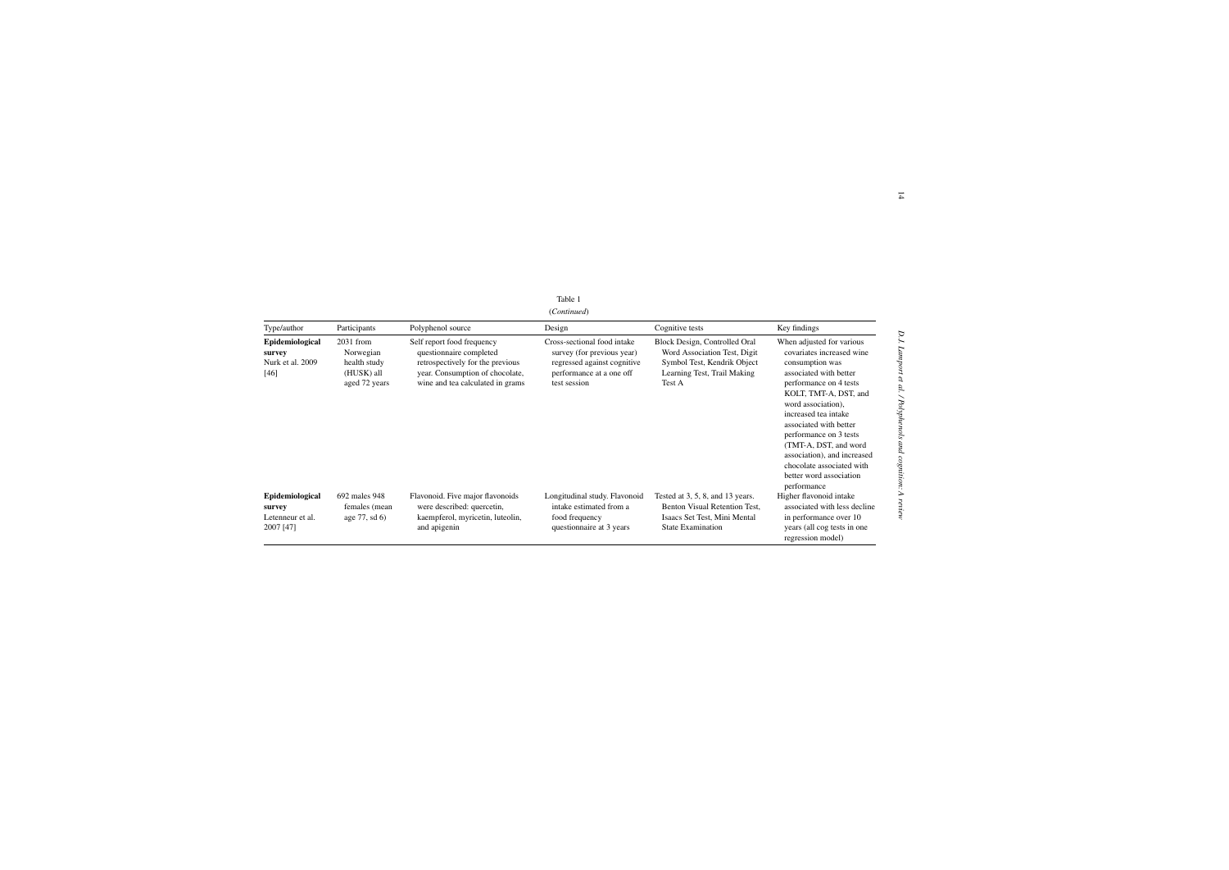| 11 t<br>аг |  |
|------------|--|
|------------|--|

| (Continued) |  |
|-------------|--|
|             |  |

|                                                            |                                                                         |                                                                                                                                                                  | Table 1                                                                                                                              |                                                                                                                                       |                                                                                                                                                                                                                                                                                                                                                                                         |
|------------------------------------------------------------|-------------------------------------------------------------------------|------------------------------------------------------------------------------------------------------------------------------------------------------------------|--------------------------------------------------------------------------------------------------------------------------------------|---------------------------------------------------------------------------------------------------------------------------------------|-----------------------------------------------------------------------------------------------------------------------------------------------------------------------------------------------------------------------------------------------------------------------------------------------------------------------------------------------------------------------------------------|
| (Continued)                                                |                                                                         |                                                                                                                                                                  |                                                                                                                                      |                                                                                                                                       |                                                                                                                                                                                                                                                                                                                                                                                         |
| Type/author                                                | Participants                                                            | Polyphenol source                                                                                                                                                | Design                                                                                                                               | Cognitive tests                                                                                                                       | Key findings                                                                                                                                                                                                                                                                                                                                                                            |
| Epidemiological<br>survey<br>Nurk et al. 2009<br>$[46]$    | $2031$ from<br>Norwegian<br>health study<br>(HUSK) all<br>aged 72 years | Self report food frequency<br>questionnaire completed<br>retrospectively for the previous<br>year. Consumption of chocolate,<br>wine and tea calculated in grams | Cross-sectional food intake<br>survey (for previous year)<br>regressed against cognitive<br>performance at a one off<br>test session | Block Design, Controlled Oral<br>Word Association Test, Digit<br>Symbol Test, Kendrik Object<br>Learning Test, Trail Making<br>Test A | When adjusted for various<br>covariates increased wine<br>consumption was<br>associated with better<br>performance on 4 tests<br>KOLT, TMT-A, DST, and<br>word association),<br>increased tea intake<br>associated with better<br>performance on 3 tests<br>(TMT-A, DST, and word<br>association), and increased<br>chocolate associated with<br>better word association<br>performance |
| Epidemiological<br>survey<br>Letenneur et al.<br>2007 [47] | 692 males 948<br>females (mean)<br>age $77$ , sd $6$ )                  | Flavonoid. Five major flavonoids<br>were described: quercetin,<br>kaempferol, myricetin, luteolin,<br>and apigenin                                               | Longitudinal study. Flavonoid<br>intake estimated from a<br>food frequency<br>questionnaire at 3 years                               | Tested at $3, 5, 8$ , and $13$ years.<br>Benton Visual Retention Test,<br>Isaacs Set Test, Mini Mental<br><b>State Examination</b>    | Higher flavonoid intake<br>associated with less decline<br>in performance over 10<br>years (all cog tests in one<br>regression model)                                                                                                                                                                                                                                                   |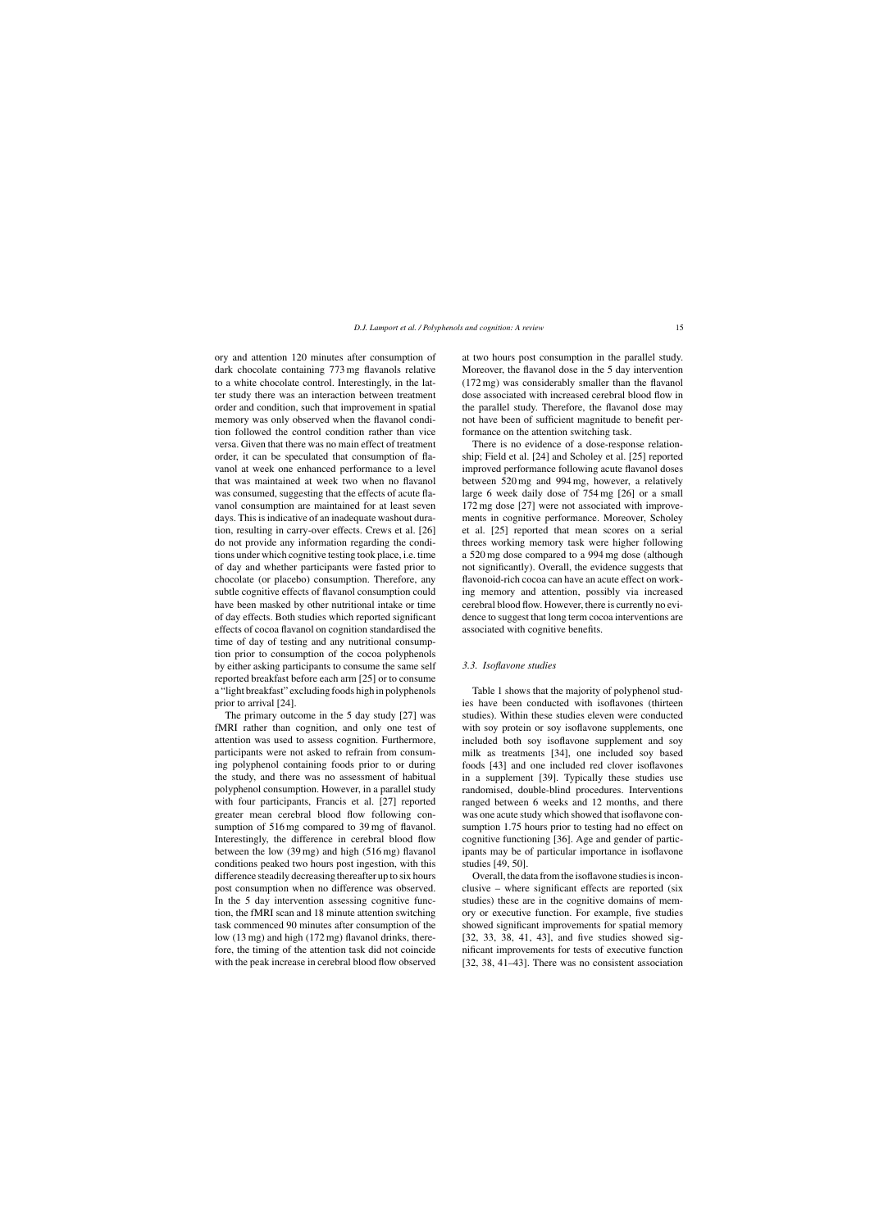ory and attention 120 minutes after consumption of dark chocolate containing 773 mg flavanols relative to a white chocolate control. Interestingly, in the latter study there was an interaction between treatment order and condition, such that improvement in spatial memory was only observed when the flavanol condition followed the control condition rather than vice versa. Given that there was no main effect of treatment order, it can be speculated that consumption of flavanol at week one enhanced performance to a level that was maintained at week two when no flavanol was consumed, suggesting that the effects of acute flavanol consumption are maintained for at least seven days. This is indicative of an inadequate washout duration, resulting in carry-over effects. Crews et al. [26] do not provide any information regarding the conditions under which cognitive testing took place, i.e. time of day and whether participants were fasted prior to chocolate (or placebo) consumption. Therefore, any subtle cognitive effects of flavanol consumption could have been masked by other nutritional intake or time of day effects. Both studies which reported significant effects of cocoa flavanol on cognition standardised the time of day of testing and any nutritional consumption prior to consumption of the cocoa polyphenols by either asking participants to consume the same self reported breakfast before each arm [25] or to consume a "light breakfast" excluding foods high in polyphenols prior to arrival [24].

The primary outcome in the 5 day study [27] was fMRI rather than cognition, and only one test of attention was used to assess cognition. Furthermore, participants were not asked to refrain from consuming polyphenol containing foods prior to or during the study, and there was no assessment of habitual polyphenol consumption. However, in a parallel study with four participants, Francis et al. [27] reported greater mean cerebral blood flow following consumption of  $516 \text{ mg}$  compared to 39 mg of flavanol. Interestingly, the difference in cerebral blood flow between the low (39 mg) and high (516 mg) flavanol conditions peaked two hours post ingestion, with this difference steadily decreasing thereafter up to six hours post consumption when no difference was observed. In the 5 day intervention assessing cognitive function, the fMRI scan and 18 minute attention switching task commenced 90 minutes after consumption of the low (13 mg) and high (172 mg) flavanol drinks, therefore, the timing of the attention task did not coincide with the peak increase in cerebral blood flow observed

at two hours post consumption in the parallel study. Moreover, the flavanol dose in the 5 day intervention (172 mg) was considerably smaller than the flavanol dose associated with increased cerebral blood flow in the parallel study. Therefore, the flavanol dose may not have been of sufficient magnitude to benefit performance on the attention switching task.

There is no evidence of a dose-response relationship; Field et al. [24] and Scholey et al. [25] reported improved performance following acute flavanol doses between 520 mg and 994 mg, however, a relatively large 6 week daily dose of 754 mg [26] or a small 172 mg dose [27] were not associated with improvements in cognitive performance. Moreover, Scholey et al. [25] reported that mean scores on a serial threes working memory task were higher following a 520 mg dose compared to a 994 mg dose (although not significantly). Overall, the evidence suggests that flavonoid-rich cocoa can have an acute effect on working memory and attention, possibly via increased cerebral blood flow. However, there is currently no evidence to suggest that long term cocoa interventions are associated with cognitive benefits.

#### *3.3. Isoflavone studies*

Table 1 shows that the majority of polyphenol studies have been conducted with isoflavones (thirteen studies). Within these studies eleven were conducted with soy protein or soy isoflavone supplements, one included both soy isoflavone supplement and soy milk as treatments [34], one included soy based foods [43] and one included red clover isoflavones in a supplement [39]. Typically these studies use randomised, double-blind procedures. Interventions ranged between 6 weeks and 12 months, and there was one acute study which showed that isoflavone consumption 1.75 hours prior to testing had no effect on cognitive functioning [36]. Age and gender of participants may be of particular importance in isoflavone studies [49, 50].

Overall, the data from the isoflavone studies is inconclusive – where significant effects are reported (six studies) these are in the cognitive domains of memory or executive function. For example, five studies showed significant improvements for spatial memory [32, 33, 38, 41, 43], and five studies showed significant improvements for tests of executive function [32, 38, 41–43]. There was no consistent association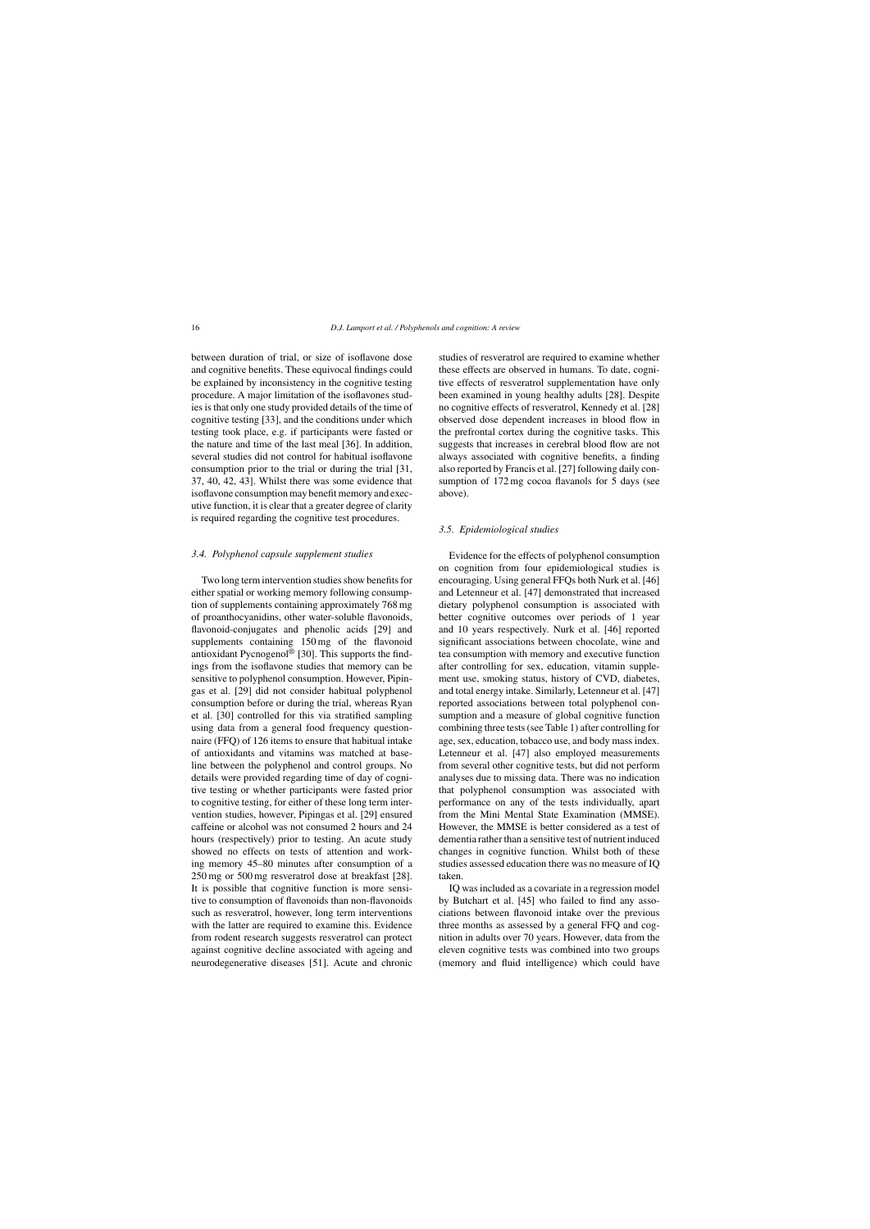between duration of trial, or size of isoflavone dose and cognitive benefits. These equivocal findings could be explained by inconsistency in the cognitive testing procedure. A major limitation of the isoflavones studies is that only one study provided details of the time of cognitive testing [33], and the conditions under which testing took place, e.g. if participants were fasted or the nature and time of the last meal [36]. In addition, several studies did not control for habitual isoflavone consumption prior to the trial or during the trial [31, 37, 40, 42, 43]. Whilst there was some evidence that isoflavone consumption may benefit memory and executive function, it is clear that a greater degree of clarity is required regarding the cognitive test procedures.

#### *3.4. Polyphenol capsule supplement studies*

Two long term intervention studies show benefits for either spatial or working memory following consumption of supplements containing approximately 768 mg of proanthocyanidins, other water-soluble flavonoids, flavonoid-conjugates and phenolic acids [29] and supplements containing 150 mg of the flavonoid antioxidant Pycnogenol® [30]. This supports the findings from the isoflavone studies that memory can be sensitive to polyphenol consumption. However, Pipingas et al. [29] did not consider habitual polyphenol consumption before or during the trial, whereas Ryan et al. [30] controlled for this via stratified sampling using data from a general food frequency questionnaire (FFQ) of 126 items to ensure that habitual intake of antioxidants and vitamins was matched at baseline between the polyphenol and control groups. No details were provided regarding time of day of cognitive testing or whether participants were fasted prior to cognitive testing, for either of these long term intervention studies, however, Pipingas et al. [29] ensured caffeine or alcohol was not consumed 2 hours and 24 hours (respectively) prior to testing. An acute study showed no effects on tests of attention and working memory 45–80 minutes after consumption of a 250 mg or 500 mg resveratrol dose at breakfast [28]. It is possible that cognitive function is more sensitive to consumption of flavonoids than non-flavonoids such as resveratrol, however, long term interventions with the latter are required to examine this. Evidence from rodent research suggests resveratrol can protect against cognitive decline associated with ageing and neurodegenerative diseases [51]. Acute and chronic

studies of resveratrol are required to examine whether these effects are observed in humans. To date, cognitive effects of resveratrol supplementation have only been examined in young healthy adults [28]. Despite no cognitive effects of resveratrol, Kennedy et al. [28] observed dose dependent increases in blood flow in the prefrontal cortex during the cognitive tasks. This suggests that increases in cerebral blood flow are not always associated with cognitive benefits, a finding also reported by Francis et al. [27] following daily consumption of 172 mg cocoa flavanols for 5 days (see above).

#### *3.5. Epidemiological studies*

Evidence for the effects of polyphenol consumption on cognition from four epidemiological studies is encouraging. Using general FFQs both Nurk et al. [46] and Letenneur et al. [47] demonstrated that increased dietary polyphenol consumption is associated with better cognitive outcomes over periods of 1 year and 10 years respectively. Nurk et al. [46] reported significant associations between chocolate, wine and tea consumption with memory and executive function after controlling for sex, education, vitamin supplement use, smoking status, history of CVD, diabetes, and total energy intake. Similarly, Letenneur et al. [47] reported associations between total polyphenol consumption and a measure of global cognitive function combining three tests (see Table 1) after controlling for age, sex, education, tobacco use, and body mass index. Letenneur et al. [47] also employed measurements from several other cognitive tests, but did not perform analyses due to missing data. There was no indication that polyphenol consumption was associated with performance on any of the tests individually, apart from the Mini Mental State Examination (MMSE). However, the MMSE is better considered as a test of dementia rather than a sensitive test of nutrient induced changes in cognitive function. Whilst both of these studies assessed education there was no measure of IQ taken.

IQ was included as a covariate in a regression model by Butchart et al. [45] who failed to find any associations between flavonoid intake over the previous three months as assessed by a general FFQ and cognition in adults over 70 years. However, data from the eleven cognitive tests was combined into two groups (memory and fluid intelligence) which could have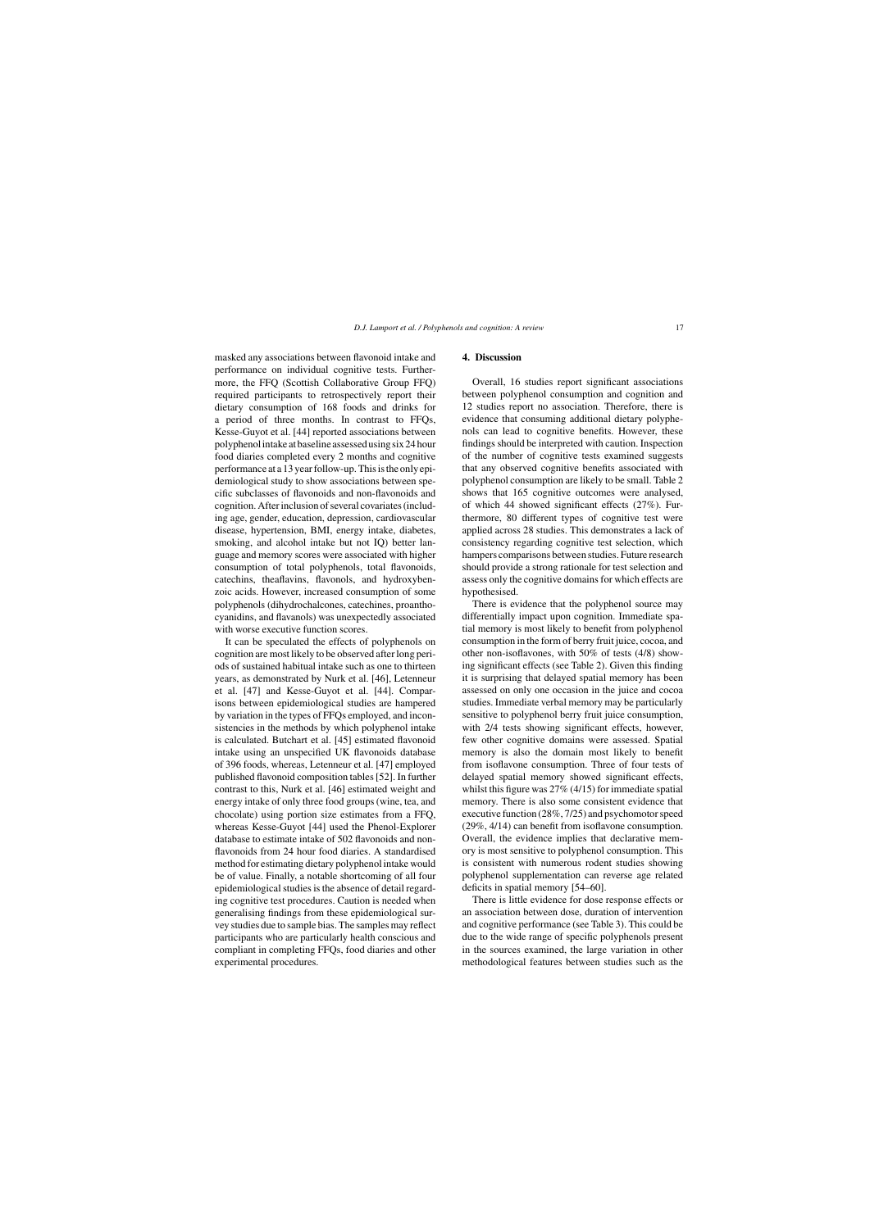masked any associations between flavonoid intake and performance on individual cognitive tests. Furthermore, the FFQ (Scottish Collaborative Group FFQ) required participants to retrospectively report their dietary consumption of 168 foods and drinks for a period of three months. In contrast to FFQs, Kesse-Guyot et al. [44] reported associations between polyphenolintakeatbaselineassessedusingsix24hour food diaries completed every 2 months and cognitive performance at a 13 year follow-up. This is the only epidemiological study to show associations between specific subclasses of flavonoids and non-flavonoids and cognition. After inclusion of several covariates (including age, gender, education, depression, cardiovascular disease, hypertension, BMI, energy intake, diabetes, smoking, and alcohol intake but not IQ) better language and memory scores were associated with higher consumption of total polyphenols, total flavonoids, catechins, theaflavins, flavonols, and hydroxybenzoic acids. However, increased consumption of some polyphenols (dihydrochalcones, catechines, proanthocyanidins, and flavanols) was unexpectedly associated with worse executive function scores.

It can be speculated the effects of polyphenols on cognition are most likely to be observed after long periods of sustained habitual intake such as one to thirteen years, as demonstrated by Nurk et al. [46], Letenneur et al. [47] and Kesse-Guyot et al. [44]. Comparisons between epidemiological studies are hampered by variation in the types of FFQs employed, and inconsistencies in the methods by which polyphenol intake is calculated. Butchart et al. [45] estimated flavonoid intake using an unspecified UK flavonoids database of 396 foods, whereas, Letenneur et al. [47] employed published flavonoid composition tables [52]. In further contrast to this, Nurk et al. [46] estimated weight and energy intake of only three food groups (wine, tea, and chocolate) using portion size estimates from a FFQ, whereas Kesse-Guyot [44] used the Phenol-Explorer database to estimate intake of 502 flavonoids and nonflavonoids from 24 hour food diaries. A standardised method for estimating dietary polyphenol intake would be of value. Finally, a notable shortcoming of all four epidemiological studies is the absence of detail regarding cognitive test procedures. Caution is needed when generalising findings from these epidemiological survey studies due to sample bias. The samples may reflect participants who are particularly health conscious and compliant in completing FFQs, food diaries and other experimental procedures.

#### **4. Discussion**

Overall, 16 studies report significant associations between polyphenol consumption and cognition and 12 studies report no association. Therefore, there is evidence that consuming additional dietary polyphenols can lead to cognitive benefits. However, these findings should be interpreted with caution. Inspection of the number of cognitive tests examined suggests that any observed cognitive benefits associated with polyphenol consumption are likely to be small. Table 2 shows that 165 cognitive outcomes were analysed, of which 44 showed significant effects (27%). Furthermore, 80 different types of cognitive test were applied across 28 studies. This demonstrates a lack of consistency regarding cognitive test selection, which hampers comparisons between studies. Future research should provide a strong rationale for test selection and assess only the cognitive domains for which effects are hypothesised.

There is evidence that the polyphenol source may differentially impact upon cognition. Immediate spatial memory is most likely to benefit from polyphenol consumption in the form of berry fruit juice, cocoa, and other non-isoflavones, with 50% of tests (4/8) showing significant effects (see Table 2). Given this finding it is surprising that delayed spatial memory has been assessed on only one occasion in the juice and cocoa studies. Immediate verbal memory may be particularly sensitive to polyphenol berry fruit juice consumption, with 2/4 tests showing significant effects, however, few other cognitive domains were assessed. Spatial memory is also the domain most likely to benefit from isoflavone consumption. Three of four tests of delayed spatial memory showed significant effects, whilst this figure was 27% (4/15) for immediate spatial memory. There is also some consistent evidence that executive function (28%, 7/25) and psychomotor speed (29%, 4/14) can benefit from isoflavone consumption. Overall, the evidence implies that declarative memory is most sensitive to polyphenol consumption. This is consistent with numerous rodent studies showing polyphenol supplementation can reverse age related deficits in spatial memory [54–60].

There is little evidence for dose response effects or an association between dose, duration of intervention and cognitive performance (see Table 3). This could be due to the wide range of specific polyphenols present in the sources examined, the large variation in other methodological features between studies such as the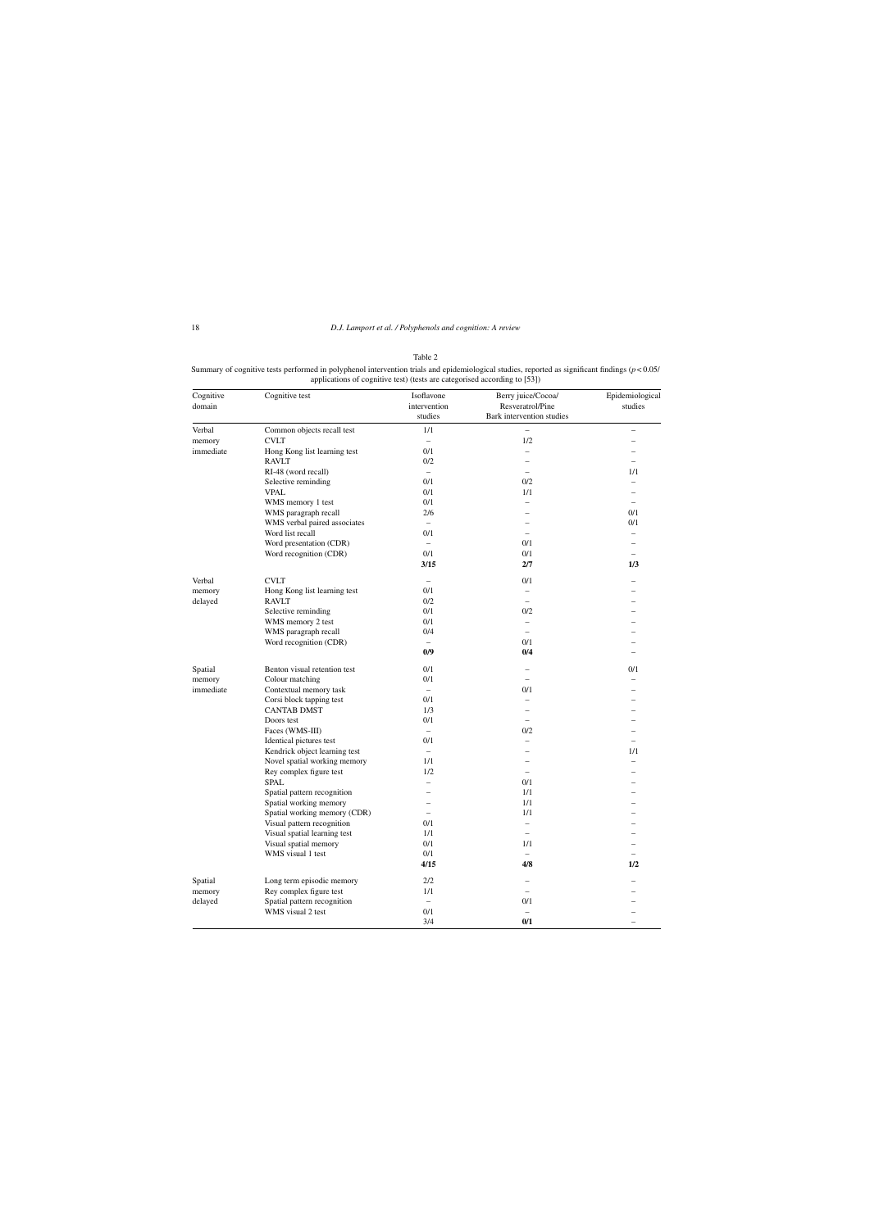Summary of cognitive tests performed in polyphenol intervention trials and epidemiological studies, reported as significant findings (*p* < 0.05/ applications of cognitive test) (tests are categorised according to [53])

| Cognitive<br>domain | Cognitive test                | Isoflavone<br>intervention | Berry juice/Cocoa/<br>Resveratrol/Pine | Epidemiological<br>studies |
|---------------------|-------------------------------|----------------------------|----------------------------------------|----------------------------|
|                     |                               | studies                    | Bark intervention studies              |                            |
| Verbal              | Common objects recall test    | 1/1                        |                                        |                            |
| memory              | <b>CVLT</b>                   | $\qquad \qquad -$          | 1/2                                    |                            |
| immediate           | Hong Kong list learning test  | 0/1                        | $\qquad \qquad -$                      |                            |
|                     | <b>RAVLT</b>                  | 0/2                        | $\overline{\phantom{0}}$               |                            |
|                     | RI-48 (word recall)           | $\overline{\phantom{0}}$   | $\overline{\phantom{0}}$               | 1/1                        |
|                     | Selective reminding           | 0/1                        | 0/2                                    |                            |
|                     | <b>VPAL</b>                   | 0/1                        | 1/1                                    |                            |
|                     | WMS memory 1 test             | 0/1                        | $\overline{\phantom{0}}$               | $\overline{\phantom{0}}$   |
|                     | WMS paragraph recall          | 2/6                        |                                        | 0/1                        |
|                     | WMS verbal paired associates  | $\overline{\phantom{0}}$   |                                        | 0/1                        |
|                     | Word list recall              | 0/1                        | $\overline{\phantom{0}}$               | $\overline{a}$             |
|                     | Word presentation (CDR)       | $\qquad \qquad -$          | 0/1                                    |                            |
|                     | Word recognition (CDR)        | 0/1                        | 0/1                                    |                            |
|                     |                               | 3/15                       | 2/7                                    | 1/3                        |
| Verbal              | <b>CVLT</b>                   |                            | 0/1                                    |                            |
| memory              | Hong Kong list learning test  | 0/1                        | $\overline{\phantom{0}}$               |                            |
| delayed             | <b>RAVLT</b>                  | 0/2                        | $\overline{\phantom{0}}$               |                            |
|                     | Selective reminding           | 0/1                        | 0/2                                    |                            |
|                     | WMS memory 2 test             | 0/1                        | $\overline{\phantom{0}}$               |                            |
|                     | WMS paragraph recall          | 0/4                        | $\qquad \qquad -$                      |                            |
|                     | Word recognition (CDR)        |                            | 0/1                                    |                            |
|                     |                               | 0/9                        | 0/4                                    |                            |
| Spatial             | Benton visual retention test  | 0/1                        | -                                      | 0/1                        |
| memory              | Colour matching               | 0/1                        | $\overline{a}$                         |                            |
| immediate           | Contextual memory task        | $\overline{\phantom{0}}$   | 0/1                                    |                            |
|                     | Corsi block tapping test      | 0/1                        | $\overline{\phantom{0}}$               |                            |
|                     | <b>CANTAB DMST</b>            | 1/3                        |                                        |                            |
|                     | Doors test                    | 0/1                        |                                        |                            |
|                     | Faces (WMS-III)               | $\overline{\phantom{0}}$   | 0/2                                    |                            |
|                     | Identical pictures test       | 0/1                        | $\overline{\phantom{0}}$               |                            |
|                     | Kendrick object learning test | $\overline{\phantom{0}}$   |                                        | 1/1                        |
|                     | Novel spatial working memory  | 1/1                        |                                        |                            |
|                     | Rey complex figure test       | 1/2                        | $\overline{\phantom{0}}$               |                            |
|                     | <b>SPAL</b>                   |                            | 0/1                                    |                            |
|                     | Spatial pattern recognition   |                            | 1/1                                    |                            |
|                     | Spatial working memory        |                            | 1/1                                    |                            |
|                     | Spatial working memory (CDR)  |                            | 1/1                                    |                            |
|                     | Visual pattern recognition    | 0/1                        | $\overline{\phantom{0}}$               |                            |
|                     | Visual spatial learning test  | 1/1                        | $\overline{a}$                         |                            |
|                     |                               | 0/1                        | 1/1                                    |                            |
|                     | Visual spatial memory         | $0/1\,$                    |                                        |                            |
|                     | WMS visual 1 test             | 4/15                       | 4/8                                    | $\qquad \qquad -$<br>1/2   |
|                     | Long term episodic memory     | 2/2                        |                                        |                            |
| Spatial             |                               |                            |                                        |                            |
| memory              | Rey complex figure test       | 1/1                        |                                        |                            |
| delayed             | Spatial pattern recognition   | $\overline{\phantom{0}}$   | 0/1                                    |                            |
|                     | WMS visual 2 test             | 0/1                        |                                        |                            |
|                     |                               | 3/4                        | 0/1                                    |                            |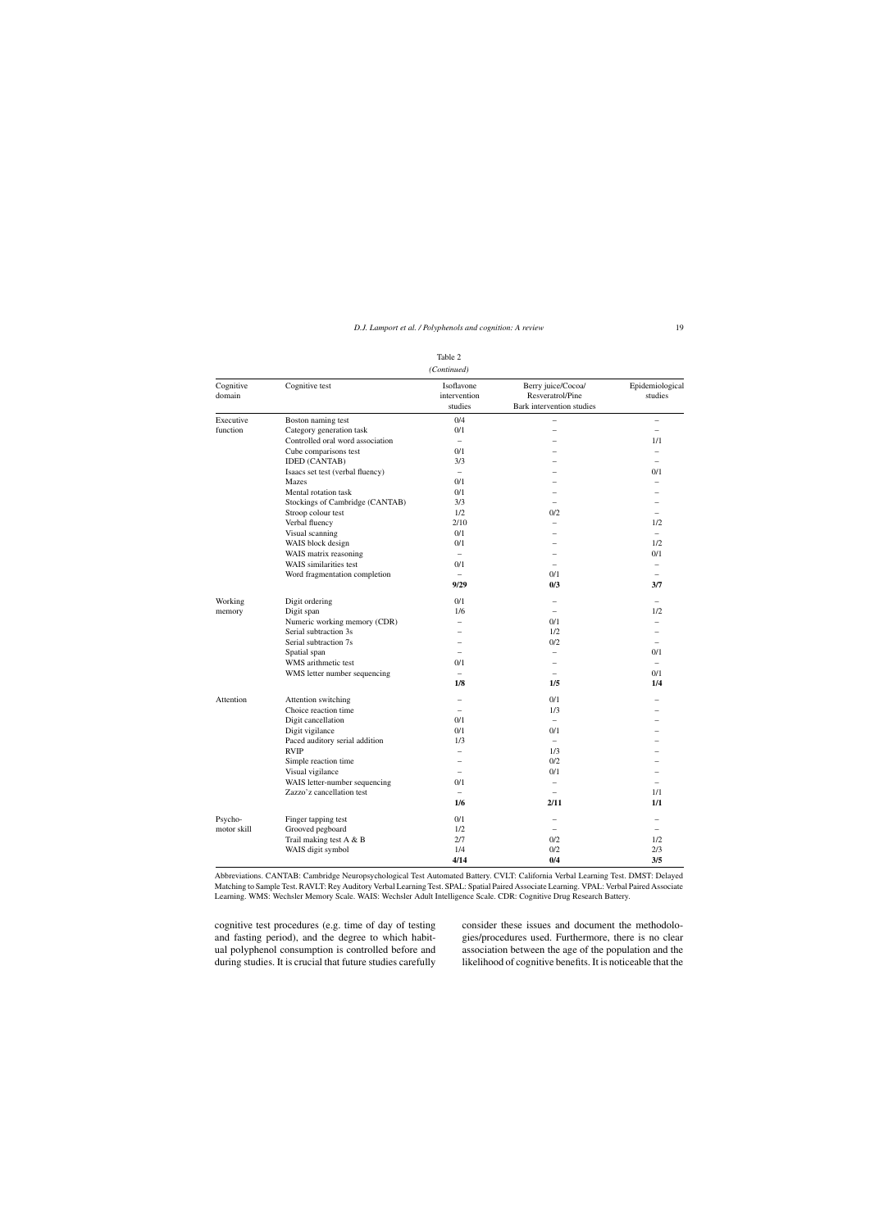| (Continued)         |                                  |                                       |                                                                     |                            |
|---------------------|----------------------------------|---------------------------------------|---------------------------------------------------------------------|----------------------------|
| Cognitive<br>domain | Cognitive test                   | Isoflavone<br>intervention<br>studies | Berry juice/Cocoa/<br>Resveratrol/Pine<br>Bark intervention studies | Epidemiological<br>studies |
| Executive           | Boston naming test               | 0/4                                   |                                                                     | -                          |
| function            | Category generation task         | 0/1                                   | $\overline{\phantom{0}}$                                            | $\overline{\phantom{0}}$   |
|                     | Controlled oral word association | $\frac{1}{2}$                         |                                                                     | 1/1                        |
|                     | Cube comparisons test            | 0/1                                   |                                                                     | $\overline{\phantom{0}}$   |
|                     | <b>IDED</b> (CANTAB)             | 3/3                                   |                                                                     | $\equiv$                   |
|                     | Isaacs set test (verbal fluency) | $\equiv$                              |                                                                     | 0/1                        |
|                     | Mazes                            | 0/1                                   |                                                                     | $\equiv$                   |
|                     | Mental rotation task             | 0/1                                   |                                                                     |                            |
|                     | Stockings of Cambridge (CANTAB)  | 3/3                                   |                                                                     |                            |
|                     | Stroop colour test               | 1/2                                   | 0/2                                                                 | $\overline{\phantom{0}}$   |
|                     | Verbal fluency                   | 2/10                                  | $\overline{\phantom{0}}$                                            | 1/2                        |
|                     | Visual scanning                  | 0/1                                   |                                                                     | $\equiv$                   |
|                     | WAIS block design                | 0/1                                   |                                                                     | 1/2                        |
|                     | WAIS matrix reasoning            | $\overline{\phantom{0}}$              | $\overline{\phantom{0}}$                                            | 0/1                        |
|                     | WAIS similarities test           | 0/1                                   | $\equiv$                                                            | $\overline{\phantom{0}}$   |
|                     | Word fragmentation completion    |                                       | 0/1                                                                 | $\overline{\phantom{0}}$   |
|                     |                                  | 9/29                                  | 0/3                                                                 | 3/7                        |
| Working             | Digit ordering                   | 0/1                                   | $\overline{\phantom{0}}$                                            | $\overline{\phantom{0}}$   |
| memory              | Digit span                       | 1/6                                   | $\overline{\phantom{0}}$                                            | 1/2                        |
|                     | Numeric working memory (CDR)     | $\overline{\phantom{0}}$              | 0/1                                                                 | $\overline{\phantom{0}}$   |
|                     | Serial subtraction 3s            | $\overline{a}$                        | 1/2                                                                 | $\overline{a}$             |
|                     | Serial subtraction 7s            | $\overline{a}$                        | 0/2                                                                 | $\overline{\phantom{0}}$   |
|                     | Spatial span                     | $\overline{a}$                        | $\overline{\phantom{0}}$                                            | 0/1                        |
|                     | WMS arithmetic test              | 0/1                                   | $\overline{\phantom{0}}$                                            | $\overline{\phantom{0}}$   |
|                     | WMS letter number sequencing     | $\overline{\phantom{0}}$              | $\overline{\phantom{0}}$                                            | 0/1                        |
|                     |                                  | 1/8                                   | 1/5                                                                 | 1/4                        |
| Attention           | Attention switching              | $\overline{\phantom{0}}$              | 0/1                                                                 |                            |
|                     | Choice reaction time             | $\overline{\phantom{0}}$              | 1/3                                                                 |                            |
|                     | Digit cancellation               | 0/1                                   |                                                                     |                            |
|                     | Digit vigilance                  | 0/1                                   | 0/1                                                                 |                            |
|                     | Paced auditory serial addition   | 1/3                                   | $\overline{\phantom{m}}$                                            |                            |
|                     | <b>RVIP</b>                      | $\overline{\phantom{0}}$              | 1/3                                                                 |                            |
|                     | Simple reaction time             | $\overline{\phantom{0}}$              | 0/2                                                                 | $\overline{\phantom{0}}$   |
|                     | Visual vigilance                 | $\equiv$                              | 0/1                                                                 | $\equiv$                   |
|                     | WAIS letter-number sequencing    | 0/1                                   | $\overline{\phantom{0}}$                                            | $\overline{\phantom{0}}$   |
|                     | Zazzo'z cancellation test        | $\overline{\phantom{0}}$              | $\overline{\phantom{0}}$                                            | 1/1                        |
|                     |                                  | 1/6                                   | 2/11                                                                | 1/1                        |
| Psycho-             | Finger tapping test              | 0/1                                   | $\overline{\phantom{0}}$                                            | $\overline{\phantom{0}}$   |
| motor skill         | Grooved pegboard                 | 1/2                                   | $\overline{\phantom{0}}$                                            | $\overline{\phantom{0}}$   |
|                     | Trail making test A & B          | 2/7                                   | 0/2                                                                 | 1/2                        |
|                     | WAIS digit symbol                | 1/4                                   | 0/2                                                                 | 2/3                        |
|                     |                                  | 4/14                                  | 0/4                                                                 | 3/5                        |

Abbreviations. CANTAB: Cambridge Neuropsychological Test Automated Battery. CVLT: California Verbal Learning Test. DMST: Delayed Matching to Sample Test. RAVLT: Rey Auditory Verbal Learning Test. SPAL: Spatial Paired Associate Learning. VPAL: Verbal Paired Associate Learning. WMS: Wechsler Memory Scale. WAIS: Wechsler Adult Intelligence Scale. CDR: Cognitive Drug Research Battery.

cognitive test procedures (e.g. time of day of testing and fasting period), and the degree to which habitual polyphenol consumption is controlled before and during studies. It is crucial that future studies carefully

consider these issues and document the methodologies/procedures used. Furthermore, there is no clear association between the age of the population and the likelihood of cognitive benefits. It is noticeable that the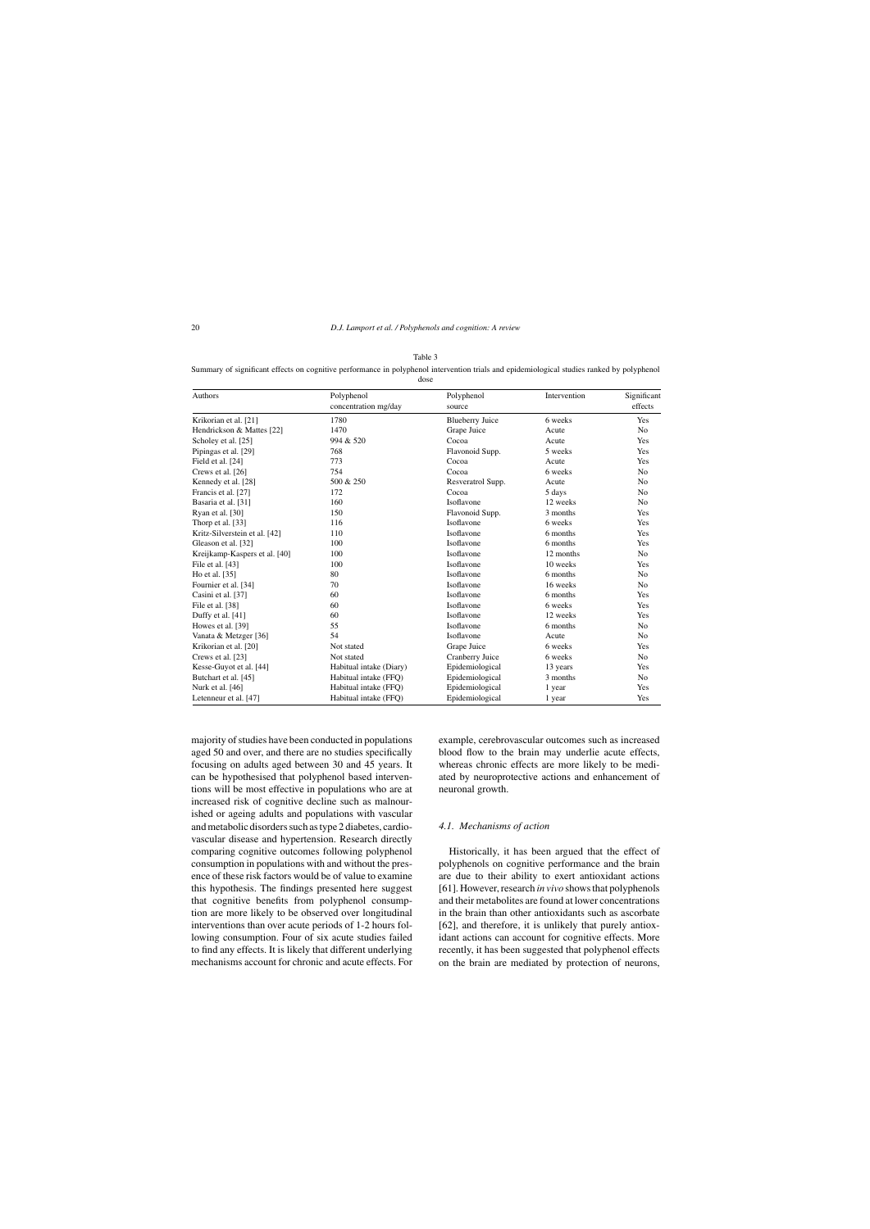Summary of significant effects on cognitive performance in polyphenol intervention trials and epidemiological studies ranked by polyphenol

dose

| Authors                       | Polyphenol              | Polyphenol             | Intervention | Significant<br>effects |
|-------------------------------|-------------------------|------------------------|--------------|------------------------|
|                               | concentration mg/day    | source                 |              |                        |
| Krikorian et al. [21]         | 1780                    | <b>Blueberry Juice</b> | 6 weeks      | Yes                    |
| Hendrickson & Mattes [22]     | 1470                    | Grape Juice            | Acute        | N <sub>0</sub>         |
| Scholey et al. [25]           | 994 & 520               | Cocoa                  | Acute        | Yes                    |
| Pipingas et al. [29]          | 768                     | Flavonoid Supp.        | 5 weeks      | Yes                    |
| Field et al. [24]             | 773                     | Cocoa                  | Acute        | Yes                    |
| Crews et al. [26]             | 754                     | Cocoa                  | 6 weeks      | N <sub>0</sub>         |
| Kennedy et al. [28]           | 500 & 250               | Resveratrol Supp.      | Acute        | N <sub>o</sub>         |
| Francis et al. [27]           | 172                     | Cocoa                  | 5 days       | N <sub>0</sub>         |
| Basaria et al. [31]           | 160                     | Isoflavone             | 12 weeks     | N <sub>0</sub>         |
| Ryan et al. [30]              | 150                     | Flavonoid Supp.        | 3 months     | Yes                    |
| Thorp et al. [33]             | 116                     | Isoflavone             | 6 weeks      | Yes                    |
| Kritz-Silverstein et al. [42] | 110                     | Isoflavone             | 6 months     | Yes                    |
| Gleason et al. [32]           | 100                     | Isoflavone             | 6 months     | Yes                    |
| Kreijkamp-Kaspers et al. [40] | 100                     | Isoflavone             | 12 months    | No                     |
| File et al. [43]              | 100                     | Isoflavone             | 10 weeks     | Yes                    |
| Ho et al. [35]                | 80                      | Isoflavone             | 6 months     | N <sub>o</sub>         |
| Fournier et al. [34]          | 70                      | Isoflavone             | 16 weeks     | N <sub>o</sub>         |
| Casini et al. [37]            | 60                      | Isoflavone             | 6 months     | Yes                    |
| File et al. [38]              | 60                      | Isoflavone             | 6 weeks      | Yes                    |
| Duffy et al. [41]             | 60                      | Isoflavone             | 12 weeks     | Yes                    |
| Howes et al. [39]             | 55                      | Isoflavone             | 6 months     | N <sub>o</sub>         |
| Vanata & Metzger [36]         | 54                      | Isoflavone             | Acute        | N <sub>o</sub>         |
| Krikorian et al. [20]         | Not stated              | Grape Juice            | 6 weeks      | Yes                    |
| Crews et al. [23]             | Not stated              | Cranberry Juice        | 6 weeks      | N <sub>0</sub>         |
| Kesse-Guyot et al. [44]       | Habitual intake (Diary) | Epidemiological        | 13 years     | Yes                    |
| Butchart et al. [45]          | Habitual intake (FFQ)   | Epidemiological        | 3 months     | N <sub>o</sub>         |
| Nurk et al. [46]              | Habitual intake (FFO)   | Epidemiological        | 1 year       | Yes                    |
| Letenneur et al. [47]         | Habitual intake (FFO)   | Epidemiological        | 1 year       | Yes                    |

majority of studies have been conducted in populations aged 50 and over, and there are no studies specifically focusing on adults aged between 30 and 45 years. It can be hypothesised that polyphenol based interventions will be most effective in populations who are at increased risk of cognitive decline such as malnourished or ageing adults and populations with vascular and metabolic disorders such as type 2 diabetes, cardiovascular disease and hypertension. Research directly comparing cognitive outcomes following polyphenol consumption in populations with and without the presence of these risk factors would be of value to examine this hypothesis. The findings presented here suggest that cognitive benefits from polyphenol consumption are more likely to be observed over longitudinal interventions than over acute periods of 1-2 hours following consumption. Four of six acute studies failed to find any effects. It is likely that different underlying mechanisms account for chronic and acute effects. For

example, cerebrovascular outcomes such as increased blood flow to the brain may underlie acute effects, whereas chronic effects are more likely to be mediated by neuroprotective actions and enhancement of neuronal growth.

#### *4.1. Mechanisms of action*

Historically, it has been argued that the effect of polyphenols on cognitive performance and the brain are due to their ability to exert antioxidant actions [61]. However, research *in vivo* shows that polyphenols and their metabolites are found at lower concentrations in the brain than other antioxidants such as ascorbate [62], and therefore, it is unlikely that purely antioxidant actions can account for cognitive effects. More recently, it has been suggested that polyphenol effects on the brain are mediated by protection of neurons,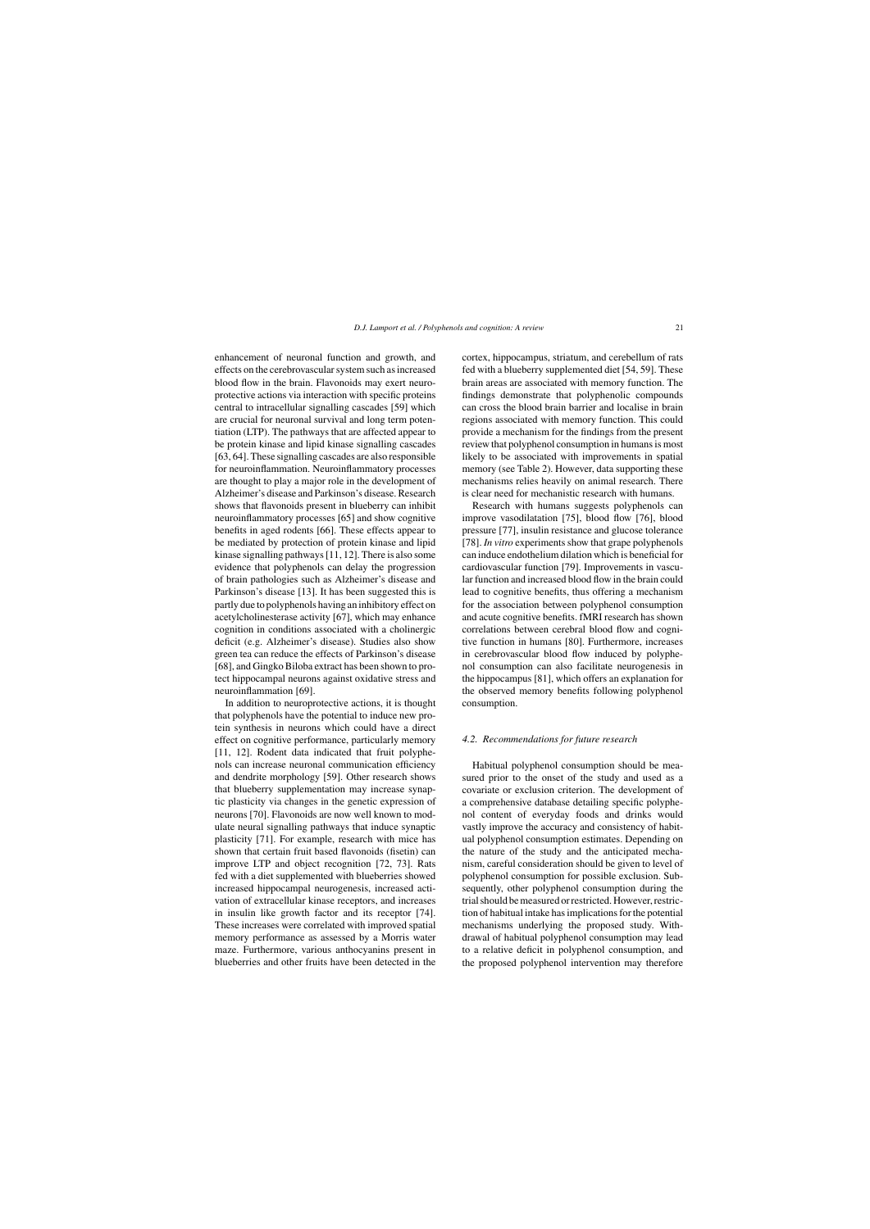enhancement of neuronal function and growth, and effects on the cerebrovascular system such as increased blood flow in the brain. Flavonoids may exert neuroprotective actions via interaction with specific proteins central to intracellular signalling cascades [59] which are crucial for neuronal survival and long term potentiation (LTP). The pathways that are affected appear to be protein kinase and lipid kinase signalling cascades [63, 64]. These signalling cascades are also responsible for neuroinflammation. Neuroinflammatory processes are thought to play a major role in the development of Alzheimer's disease and Parkinson's disease. Research shows that flavonoids present in blueberry can inhibit neuroinflammatory processes [65] and show cognitive benefits in aged rodents [66]. These effects appear to be mediated by protection of protein kinase and lipid kinase signalling pathways [11, 12]. There is also some evidence that polyphenols can delay the progression of brain pathologies such as Alzheimer's disease and Parkinson's disease [13]. It has been suggested this is partly due to polyphenols having an inhibitory effect on acetylcholinesterase activity [67], which may enhance cognition in conditions associated with a cholinergic deficit (e.g. Alzheimer's disease). Studies also show green tea can reduce the effects of Parkinson's disease [68], and Gingko Biloba extract has been shown to protect hippocampal neurons against oxidative stress and neuroinflammation [69].

In addition to neuroprotective actions, it is thought that polyphenols have the potential to induce new protein synthesis in neurons which could have a direct effect on cognitive performance, particularly memory [11, 12]. Rodent data indicated that fruit polyphenols can increase neuronal communication efficiency and dendrite morphology [59]. Other research shows that blueberry supplementation may increase synaptic plasticity via changes in the genetic expression of neurons [70]. Flavonoids are now well known to modulate neural signalling pathways that induce synaptic plasticity [71]. For example, research with mice has shown that certain fruit based flavonoids (fisetin) can improve LTP and object recognition [72, 73]. Rats fed with a diet supplemented with blueberries showed increased hippocampal neurogenesis, increased activation of extracellular kinase receptors, and increases in insulin like growth factor and its receptor [74]. These increases were correlated with improved spatial memory performance as assessed by a Morris water maze. Furthermore, various anthocyanins present in blueberries and other fruits have been detected in the

cortex, hippocampus, striatum, and cerebellum of rats fed with a blueberry supplemented diet [54, 59]. These brain areas are associated with memory function. The findings demonstrate that polyphenolic compounds can cross the blood brain barrier and localise in brain regions associated with memory function. This could provide a mechanism for the findings from the present review that polyphenol consumption in humans is most likely to be associated with improvements in spatial memory (see Table 2). However, data supporting these mechanisms relies heavily on animal research. There is clear need for mechanistic research with humans.

Research with humans suggests polyphenols can improve vasodilatation [75], blood flow [76], blood pressure [77], insulin resistance and glucose tolerance [78]. *In vitro* experiments show that grape polyphenols can induce endothelium dilation which is beneficial for cardiovascular function [79]. Improvements in vascular function and increased blood flow in the brain could lead to cognitive benefits, thus offering a mechanism for the association between polyphenol consumption and acute cognitive benefits. fMRI research has shown correlations between cerebral blood flow and cognitive function in humans [80]. Furthermore, increases in cerebrovascular blood flow induced by polyphenol consumption can also facilitate neurogenesis in the hippocampus [81], which offers an explanation for the observed memory benefits following polyphenol consumption.

#### *4.2. Recommendations for future research*

Habitual polyphenol consumption should be measured prior to the onset of the study and used as a covariate or exclusion criterion. The development of a comprehensive database detailing specific polyphenol content of everyday foods and drinks would vastly improve the accuracy and consistency of habitual polyphenol consumption estimates. Depending on the nature of the study and the anticipated mechanism, careful consideration should be given to level of polyphenol consumption for possible exclusion. Subsequently, other polyphenol consumption during the trial should be measured or restricted. However, restriction of habitual intake has implications for the potential mechanisms underlying the proposed study. Withdrawal of habitual polyphenol consumption may lead to a relative deficit in polyphenol consumption, and the proposed polyphenol intervention may therefore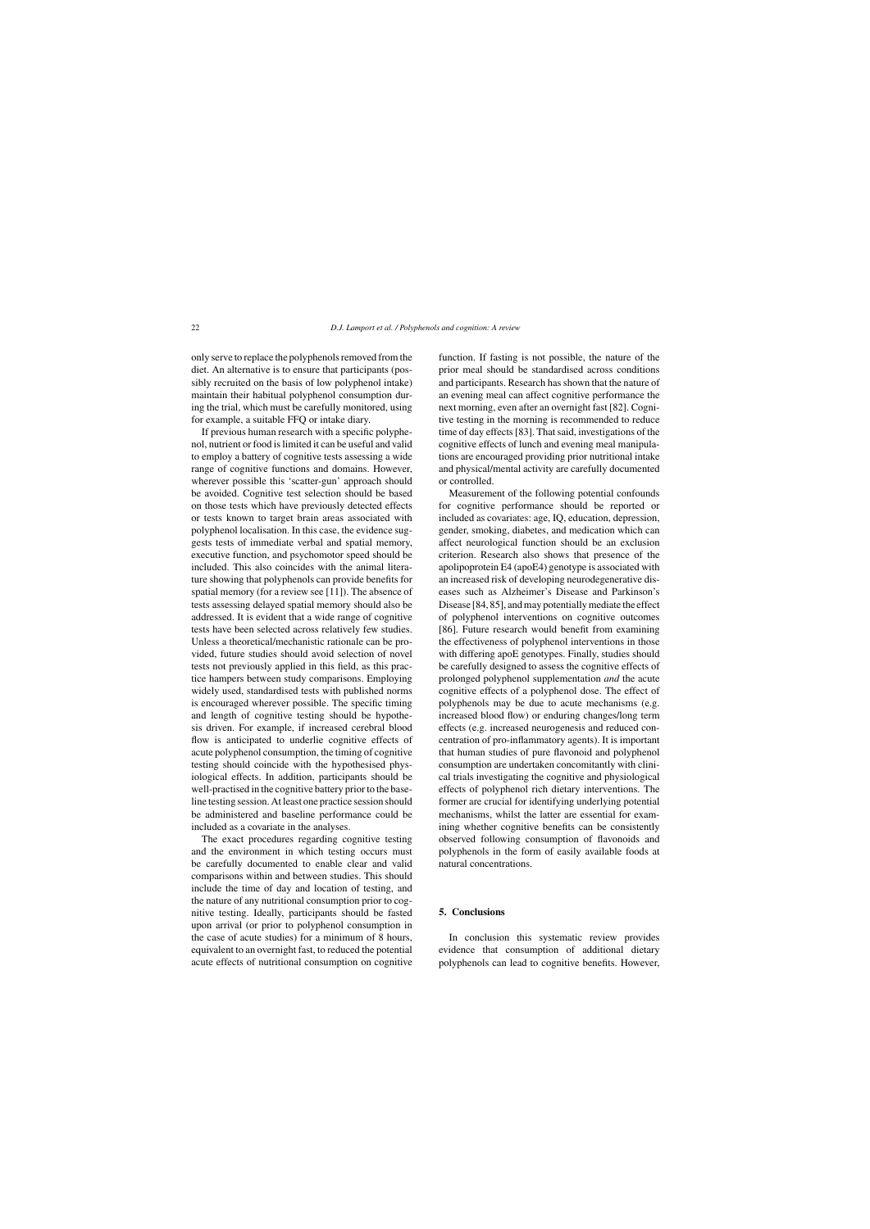only serve to replace the polyphenols removed from the diet. An alternative is to ensure that participants (possibly recruited on the basis of low polyphenol intake) maintain their habitual polyphenol consumption during the trial, which must be carefully monitored, using for example, a suitable FFQ or intake diary.

If previous human research with a specific polyphenol, nutrient or food is limited it can be useful and valid to employ a battery of cognitive tests assessing a wide range of cognitive functions and domains. However, wherever possible this 'scatter-gun' approach should be avoided. Cognitive test selection should be based on those tests which have previously detected effects or tests known to target brain areas associated with polyphenol localisation. In this case, the evidence suggests tests of immediate verbal and spatial memory, executive function, and psychomotor speed should be included. This also coincides with the animal literature showing that polyphenols can provide benefits for spatial memory (for a review see [11]). The absence of tests assessing delayed spatial memory should also be addressed. It is evident that a wide range of cognitive tests have been selected across relatively few studies. Unless a theoretical/mechanistic rationale can be provided, future studies should avoid selection of novel tests not previously applied in this field, as this practice hampers between study comparisons. Employing widely used, standardised tests with published norms is encouraged wherever possible. The specific timing and length of cognitive testing should be hypothesis driven. For example, if increased cerebral blood flow is anticipated to underlie cognitive effects of acute polyphenol consumption, the timing of cognitive testing should coincide with the hypothesised physiological effects. In addition, participants should be well-practised in the cognitive battery prior to the baseline testing session. At least one practice session should be administered and baseline performance could be included as a covariate in the analyses.

The exact procedures regarding cognitive testing and the environment in which testing occurs must be carefully documented to enable clear and valid comparisons within and between studies. This should include the time of day and location of testing, and the nature of any nutritional consumption prior to cognitive testing. Ideally, participants should be fasted upon arrival (or prior to polyphenol consumption in the case of acute studies) for a minimum of 8 hours, equivalent to an overnight fast, to reduced the potential acute effects of nutritional consumption on cognitive

function. If fasting is not possible, the nature of the prior meal should be standardised across conditions and participants. Research has shown that the nature of an evening meal can affect cognitive performance the next morning, even after an overnight fast [82]. Cognitive testing in the morning is recommended to reduce time of day effects [83]. That said, investigations of the cognitive effects of lunch and evening meal manipulations are encouraged providing prior nutritional intake and physical/mental activity are carefully documented or controlled.

Measurement of the following potential confounds for cognitive performance should be reported or included as covariates: age, IQ, education, depression, gender, smoking, diabetes, and medication which can affect neurological function should be an exclusion criterion. Research also shows that presence of the apolipoprotein E4 (apoE4) genotype is associated with an increased risk of developing neurodegenerative diseases such as Alzheimer's Disease and Parkinson's Disease [84, 85], and may potentially mediate the effect of polyphenol interventions on cognitive outcomes [86]. Future research would benefit from examining the effectiveness of polyphenol interventions in those with differing apoE genotypes. Finally, studies should be carefully designed to assess the cognitive effects of prolonged polyphenol supplementation *and* the acute cognitive effects of a polyphenol dose. The effect of polyphenols may be due to acute mechanisms (e.g. increased blood flow) or enduring changes/long term effects (e.g. increased neurogenesis and reduced concentration of pro-inflammatory agents). It is important that human studies of pure flavonoid and polyphenol consumption are undertaken concomitantly with clinical trials investigating the cognitive and physiological effects of polyphenol rich dietary interventions. The former are crucial for identifying underlying potential mechanisms, whilst the latter are essential for examining whether cognitive benefits can be consistently observed following consumption of flavonoids and polyphenols in the form of easily available foods at natural concentrations.

#### **5. Conclusions**

In conclusion this systematic review provides evidence that consumption of additional dietary polyphenols can lead to cognitive benefits. However,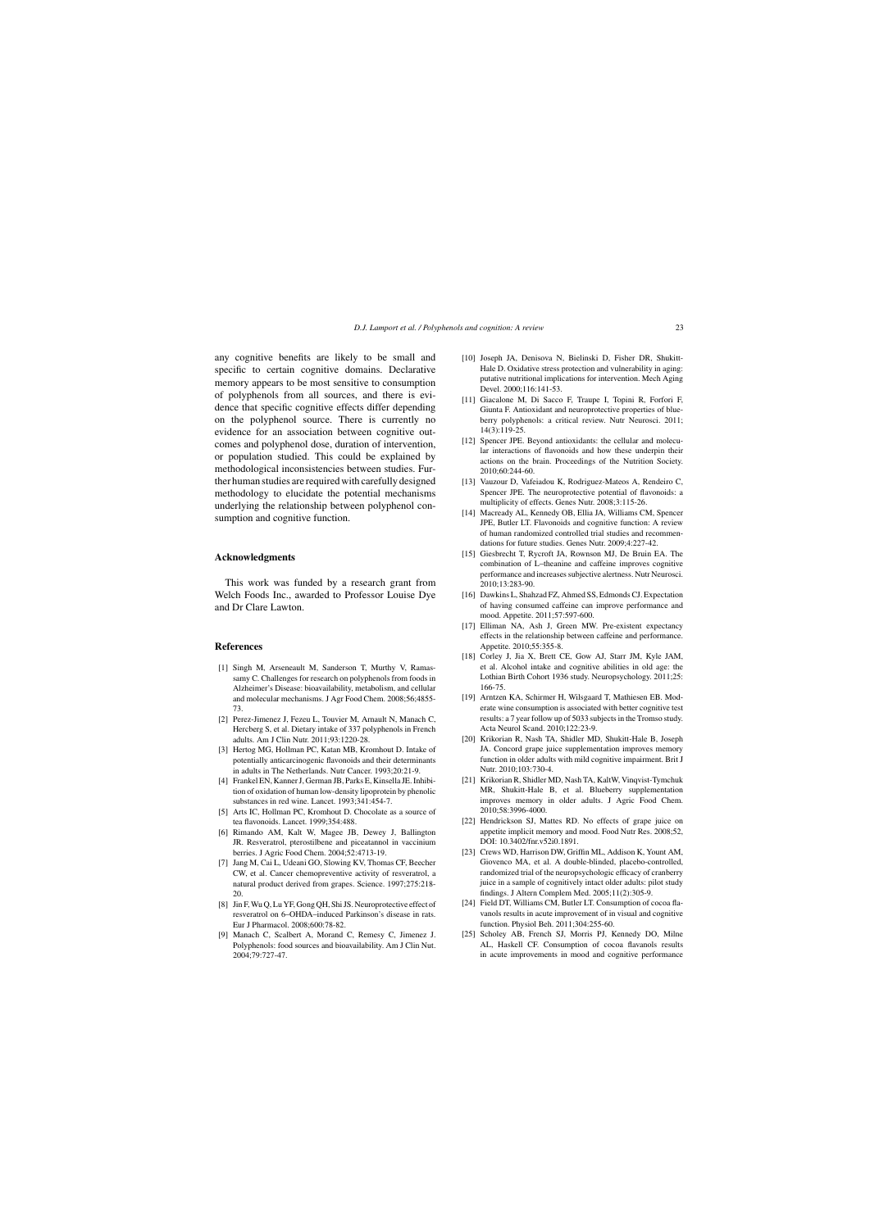any cognitive benefits are likely to be small and specific to certain cognitive domains. Declarative memory appears to be most sensitive to consumption of polyphenols from all sources, and there is evidence that specific cognitive effects differ depending on the polyphenol source. There is currently no evidence for an association between cognitive outcomes and polyphenol dose, duration of intervention, or population studied. This could be explained by methodological inconsistencies between studies. Further human studies are required with carefully designed methodology to elucidate the potential mechanisms underlying the relationship between polyphenol consumption and cognitive function.

#### **Acknowledgments**

This work was funded by a research grant from Welch Foods Inc., awarded to Professor Louise Dye and Dr Clare Lawton.

#### **References**

- [1] Singh M, Arseneault M, Sanderson T, Murthy V, Ramassamy C. Challenges for research on polyphenols from foods in Alzheimer's Disease: bioavailability, metabolism, and cellular and molecular mechanisms. J Agr Food Chem. 2008;56;4855- 73.
- [2] Perez-Jimenez J, Fezeu L, Touvier M, Arnault N, Manach C, Hercberg S, et al. Dietary intake of 337 polyphenols in French adults. Am J Clin Nutr. 2011;93:1220-28.
- [3] Hertog MG, Hollman PC, Katan MB, Kromhout D. Intake of potentially anticarcinogenic flavonoids and their determinants in adults in The Netherlands. Nutr Cancer. 1993;20:21-9.
- [4] Frankel EN, Kanner J, German JB, Parks E, Kinsella JE. Inhibition of oxidation of human low-density lipoprotein by phenolic substances in red wine. Lancet. 1993;341:454-7.
- [5] Arts IC, Hollman PC, Kromhout D. Chocolate as a source of tea flavonoids. Lancet. 1999;354:488.
- [6] Rimando AM, Kalt W, Magee JB, Dewey J, Ballington JR. Resveratrol, pterostilbene and piceatannol in vaccinium berries. J Agric Food Chem. 2004;52:4713-19.
- [7] Jang M, Cai L, Udeani GO, Slowing KV, Thomas CF, Beecher CW, et al. Cancer chemopreventive activity of resveratrol, a natural product derived from grapes. Science. 1997;275:218- 20.
- [8] Jin F, Wu Q, Lu YF, Gong QH, Shi JS. Neuroprotective effect of resveratrol on 6–OHDA–induced Parkinson's disease in rats. Eur J Pharmacol. 2008;600:78-82.
- [9] Manach C, Scalbert A, Morand C, Remesy C, Jimenez J. Polyphenols: food sources and bioavailability. Am J Clin Nut. 2004;79:727-47.
- [10] Joseph JA, Denisova N, Bielinski D, Fisher DR, Shukitt-Hale D. Oxidative stress protection and vulnerability in aging: putative nutritional implications for intervention. Mech Aging Devel. 2000;116:141-53.
- [11] Giacalone M, Di Sacco F, Traupe I, Topini R, Forfori F, Giunta F. Antioxidant and neuroprotective properties of blueberry polyphenols: a critical review. Nutr Neurosci. 2011; 14(3):119-25.
- [12] Spencer JPE. Beyond antioxidants: the cellular and molecular interactions of flavonoids and how these underpin their actions on the brain. Proceedings of the Nutrition Society. 2010;60:244-60.
- [13] Vauzour D, Vafeiadou K, Rodriguez-Mateos A, Rendeiro C, Spencer JPE. The neuroprotective potential of flavonoids: a multiplicity of effects. Genes Nutr. 2008;3:115-26.
- [14] Macready AL, Kennedy OB, Ellia JA, Williams CM, Spencer JPE, Butler LT. Flavonoids and cognitive function: A review of human randomized controlled trial studies and recommendations for future studies. Genes Nutr. 2009;4:227-42.
- [15] Giesbrecht T, Rycroft JA, Rownson MJ, De Bruin EA. The combination of L–theanine and caffeine improves cognitive performance and increases subjective alertness. Nutr Neurosci. 2010;13:283-90.
- [16] Dawkins L, Shahzad FZ, Ahmed SS, Edmonds CJ. Expectation of having consumed caffeine can improve performance and mood. Appetite. 2011;57:597-600.
- [17] Elliman NA, Ash J, Green MW. Pre-existent expectancy effects in the relationship between caffeine and performance. Appetite. 2010;55:355-8.
- [18] Corley J, Jia X, Brett CE, Gow AJ, Starr JM, Kyle JAM, et al. Alcohol intake and cognitive abilities in old age: the Lothian Birth Cohort 1936 study. Neuropsychology. 2011;25: 166-75.
- [19] Arntzen KA, Schirmer H, Wilsgaard T, Mathiesen EB, Moderate wine consumption is associated with better cognitive test results: a 7 year follow up of 5033 subjects in the Tromso study. Acta Neurol Scand. 2010;122:23-9.
- [20] Krikorian R, Nash TA, Shidler MD, Shukitt-Hale B, Joseph JA. Concord grape juice supplementation improves memory function in older adults with mild cognitive impairment. Brit J Nutr. 2010;103:730-4.
- [21] Krikorian R, Shidler MD, Nash TA, KaltW, Vinqvist-Tymchuk MR, Shukitt-Hale B, et al. Blueberry supplementation improves memory in older adults. J Agric Food Chem. 2010;58:3996-4000.
- [22] Hendrickson SJ, Mattes RD. No effects of grape juice on appetite implicit memory and mood. Food Nutr Res. 2008;52, DOI: 10.3402/fnr.v52i0.1891.
- [23] Crews WD, Harrison DW, Griffin ML, Addison K, Yount AM, Giovenco MA, et al. A double-blinded, placebo-controlled, randomized trial of the neuropsychologic efficacy of cranberry juice in a sample of cognitively intact older adults: pilot study findings. J Altern Complem Med. 2005;11(2):305-9.
- [24] Field DT, Williams CM, Butler LT. Consumption of cocoa flavanols results in acute improvement of in visual and cognitive function. Physiol Beh. 2011;304:255-60.
- [25] Scholey AB, French SJ, Morris PJ, Kennedy DO, Milne AL, Haskell CF. Consumption of cocoa flavanols results in acute improvements in mood and cognitive performance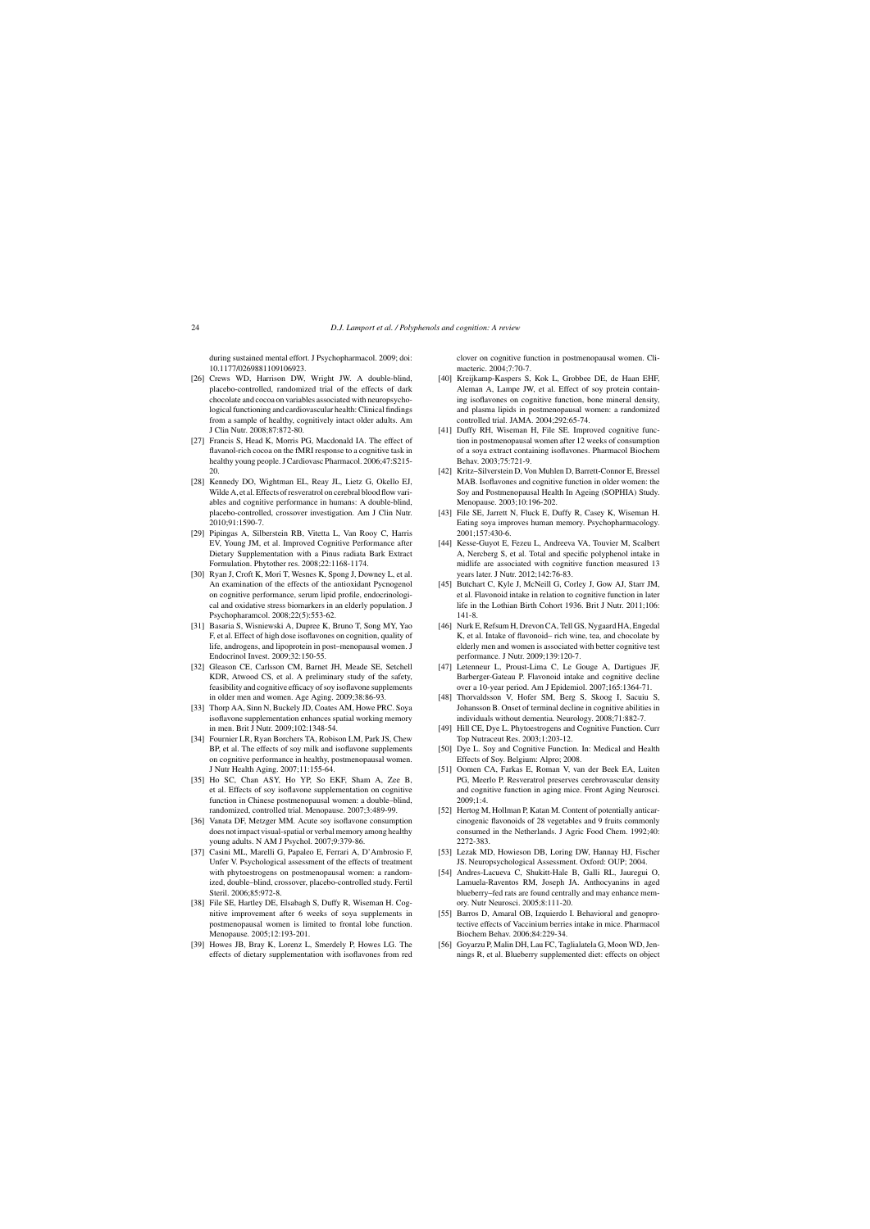during sustained mental effort. J Psychopharmacol. 2009; doi: 10.1177/0269881109106923.

- [26] Crews WD, Harrison DW, Wright JW, A double-blind, placebo-controlled, randomized trial of the effects of dark chocolate and cocoa on variables associated with neuropsychological functioning and cardiovascular health: Clinical findings from a sample of healthy, cognitively intact older adults. Am J Clin Nutr. 2008;87:872-80.
- [27] Francis S, Head K, Morris PG, Macdonald IA. The effect of flavanol-rich cocoa on the fMRI response to a cognitive task in healthy young people. J Cardiovasc Pharmacol. 2006;47:S215- 20.
- [28] Kennedy DO, Wightman EL, Reay JL, Lietz G, Okello EJ, Wilde A, et al. Effects of resveratrol on cerebral blood flow variables and cognitive performance in humans: A double-blind, placebo-controlled, crossover investigation. Am J Clin Nutr. 2010;91:1590-7.
- [29] Pipingas A, Silberstein RB, Vitetta L, Van Rooy C, Harris EV, Young JM, et al. Improved Cognitive Performance after Dietary Supplementation with a Pinus radiata Bark Extract Formulation. Phytother res. 2008;22:1168-1174.
- [30] Ryan J, Croft K, Mori T, Wesnes K, Spong J, Downey L, et al. An examination of the effects of the antioxidant Pycnogenol on cognitive performance, serum lipid profile, endocrinological and oxidative stress biomarkers in an elderly population. J Psychopharamcol. 2008;22(5):553-62.
- [31] Basaria S, Wisniewski A, Dupree K, Bruno T, Song MY, Yao F, et al. Effect of high dose isoflavones on cognition, quality of life, androgens, and lipoprotein in post–menopausal women. J Endocrinol Invest. 2009;32:150-55.
- [32] Gleason CE, Carlsson CM, Barnet JH, Meade SE, Setchell KDR, Atwood CS, et al. A preliminary study of the safety, feasibility and cognitive efficacy of soy isoflavone supplements in older men and women. Age Aging. 2009;38:86-93.
- [33] Thorp AA, Sinn N, Buckely JD, Coates AM, Howe PRC. Soya isoflavone supplementation enhances spatial working memory in men. Brit J Nutr. 2009;102:1348-54.
- [34] Fournier LR, Ryan Borchers TA, Robison LM, Park JS, Chew BP, et al. The effects of soy milk and isoflavone supplements on cognitive performance in healthy, postmenopausal women. J Nutr Health Aging. 2007;11:155-64.
- [35] Ho SC, Chan ASY, Ho YP, So EKF, Sham A, Zee B, et al. Effects of soy isoflavone supplementation on cognitive function in Chinese postmenopausal women: a double–blind, randomized, controlled trial. Menopause. 2007;3:489-99.
- [36] Vanata DF, Metzger MM. Acute soy isoflavone consumption does not impact visual-spatial or verbal memory among healthy young adults. N AM J Psychol. 2007;9:379-86.
- [37] Casini ML, Marelli G, Papaleo E, Ferrari A, D'Ambrosio F, Unfer V. Psychological assessment of the effects of treatment with phytoestrogens on postmenopausal women: a randomized, double–blind, crossover, placebo-controlled study. Fertil Steril. 2006;85:972-8.
- [38] File SE, Hartley DE, Elsabagh S, Duffy R, Wiseman H. Cognitive improvement after 6 weeks of soya supplements in postmenopausal women is limited to frontal lobe function. Menopause. 2005;12:193-201.
- [39] Howes JB, Bray K, Lorenz L, Smerdely P, Howes LG. The effects of dietary supplementation with isoflavones from red

clover on cognitive function in postmenopausal women. Climacteric. 2004;7:70-7.

- [40] Kreijkamp-Kaspers S, Kok L, Grobbee DE, de Haan EHF, Aleman A, Lampe JW, et al. Effect of soy protein containing isoflavones on cognitive function, bone mineral density, and plasma lipids in postmenopausal women: a randomized controlled trial. JAMA. 2004;292:65-74.
- [41] Duffy RH, Wiseman H, File SE. Improved cognitive function in postmenopausal women after 12 weeks of consumption of a soya extract containing isoflavones. Pharmacol Biochem Behav. 2003;75:721-9.
- [42] Kritz–Silverstein D, Von Muhlen D, Barrett-Connor E, Bressel MAB. Isoflavones and cognitive function in older women: the Soy and Postmenopausal Health In Ageing (SOPHIA) Study. Menopause. 2003;10:196-202.
- [43] File SE, Jarrett N, Fluck E, Duffy R, Casey K, Wiseman H. Eating soya improves human memory. Psychopharmacology. 2001;157:430-6.
- [44] Kesse-Guyot E, Fezeu L, Andreeva VA, Touvier M, Scalbert A, Nercberg S, et al. Total and specific polyphenol intake in midlife are associated with cognitive function measured 13 years later. J Nutr. 2012;142:76-83.
- [45] Butchart C, Kyle J, McNeill G, Corley J, Gow AJ, Starr JM, et al. Flavonoid intake in relation to cognitive function in later life in the Lothian Birth Cohort 1936. Brit J Nutr. 2011;106: 141-8.
- [46] Nurk E. Refsum H, Drevon CA, Tell GS, Nygaard HA, Engedal K, et al. Intake of flavonoid– rich wine, tea, and chocolate by elderly men and women is associated with better cognitive test performance. J Nutr. 2009;139:120-7.
- [47] Letenneur L, Proust-Lima C, Le Gouge A, Dartigues JF, Barberger-Gateau P. Flavonoid intake and cognitive decline over a 10-year period. Am J Epidemiol. 2007;165:1364-71.
- [48] Thorvaldsson V, Hofer SM, Berg S, Skoog I, Sacuiu S, Johansson B. Onset of terminal decline in cognitive abilities in individuals without dementia. Neurology. 2008;71:882-7.
- [49] Hill CE, Dye L. Phytoestrogens and Cognitive Function. Curr Top Nutraceut Res. 2003;1:203-12.
- [50] Dye L. Soy and Cognitive Function. In: Medical and Health Effects of Soy. Belgium: Alpro; 2008.
- [51] Oomen CA, Farkas E, Roman V, van der Beek EA, Luiten PG, Meerlo P. Resveratrol preserves cerebrovascular density and cognitive function in aging mice. Front Aging Neurosci. 2009;1:4.
- [52] Hertog M, Hollman P, Katan M. Content of potentially anticarcinogenic flavonoids of 28 vegetables and 9 fruits commonly consumed in the Netherlands. J Agric Food Chem. 1992;40: 2272-383.
- [53] Lezak MD, Howieson DB, Loring DW, Hannay HJ, Fischer JS. Neuropsychological Assessment. Oxford: OUP; 2004.
- [54] Andres-Lacueva C, Shukitt-Hale B, Galli RL, Jauregui O, Lamuela-Raventos RM, Joseph JA. Anthocyanins in aged blueberry–fed rats are found centrally and may enhance memory. Nutr Neurosci. 2005;8:111-20.
- [55] Barros D, Amaral OB, Izquierdo I. Behavioral and genoprotective effects of Vaccinium berries intake in mice. Pharmacol Biochem Behav. 2006;84:229-34.
- [56] Goyarzu P, Malin DH, Lau FC, Taglialatela G, Moon WD, Jennings R, et al. Blueberry supplemented diet: effects on object